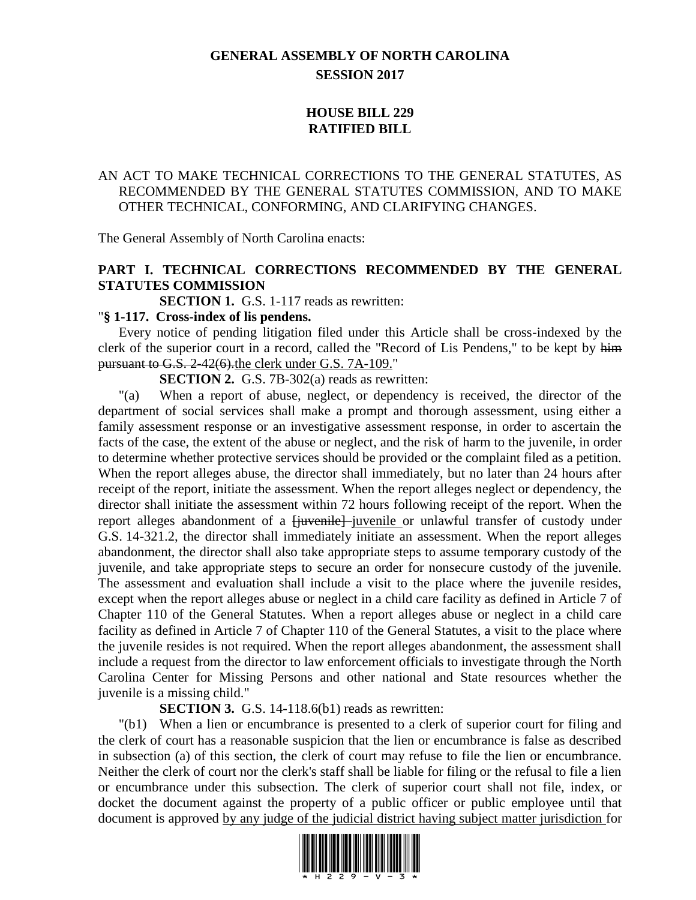# **GENERAL ASSEMBLY OF NORTH CAROLINA SESSION 2017**

# **HOUSE BILL 229 RATIFIED BILL**

# AN ACT TO MAKE TECHNICAL CORRECTIONS TO THE GENERAL STATUTES, AS RECOMMENDED BY THE GENERAL STATUTES COMMISSION, AND TO MAKE OTHER TECHNICAL, CONFORMING, AND CLARIFYING CHANGES.

The General Assembly of North Carolina enacts:

# **PART I. TECHNICAL CORRECTIONS RECOMMENDED BY THE GENERAL STATUTES COMMISSION**

**SECTION 1.** G.S. 1-117 reads as rewritten:

#### "**§ 1-117. Cross-index of lis pendens.**

Every notice of pending litigation filed under this Article shall be cross-indexed by the clerk of the superior court in a record, called the "Record of Lis Pendens," to be kept by him pursuant to G.S. 2-42(6).the clerk under G.S. 7A-109."

**SECTION 2.** G.S. 7B-302(a) reads as rewritten:

"(a) When a report of abuse, neglect, or dependency is received, the director of the department of social services shall make a prompt and thorough assessment, using either a family assessment response or an investigative assessment response, in order to ascertain the facts of the case, the extent of the abuse or neglect, and the risk of harm to the juvenile, in order to determine whether protective services should be provided or the complaint filed as a petition. When the report alleges abuse, the director shall immediately, but no later than 24 hours after receipt of the report, initiate the assessment. When the report alleges neglect or dependency, the director shall initiate the assessment within 72 hours following receipt of the report. When the report alleges abandonment of a <del>[juvenile]</del>-juvenile or unlawful transfer of custody under G.S. 14-321.2, the director shall immediately initiate an assessment. When the report alleges abandonment, the director shall also take appropriate steps to assume temporary custody of the juvenile, and take appropriate steps to secure an order for nonsecure custody of the juvenile. The assessment and evaluation shall include a visit to the place where the juvenile resides, except when the report alleges abuse or neglect in a child care facility as defined in Article 7 of Chapter 110 of the General Statutes. When a report alleges abuse or neglect in a child care facility as defined in Article 7 of Chapter 110 of the General Statutes, a visit to the place where the juvenile resides is not required. When the report alleges abandonment, the assessment shall include a request from the director to law enforcement officials to investigate through the North Carolina Center for Missing Persons and other national and State resources whether the juvenile is a missing child."

**SECTION 3.** G.S. 14-118.6(b1) reads as rewritten:

"(b1) When a lien or encumbrance is presented to a clerk of superior court for filing and the clerk of court has a reasonable suspicion that the lien or encumbrance is false as described in subsection (a) of this section, the clerk of court may refuse to file the lien or encumbrance. Neither the clerk of court nor the clerk's staff shall be liable for filing or the refusal to file a lien or encumbrance under this subsection. The clerk of superior court shall not file, index, or docket the document against the property of a public officer or public employee until that document is approved by any judge of the judicial district having subject matter jurisdiction for

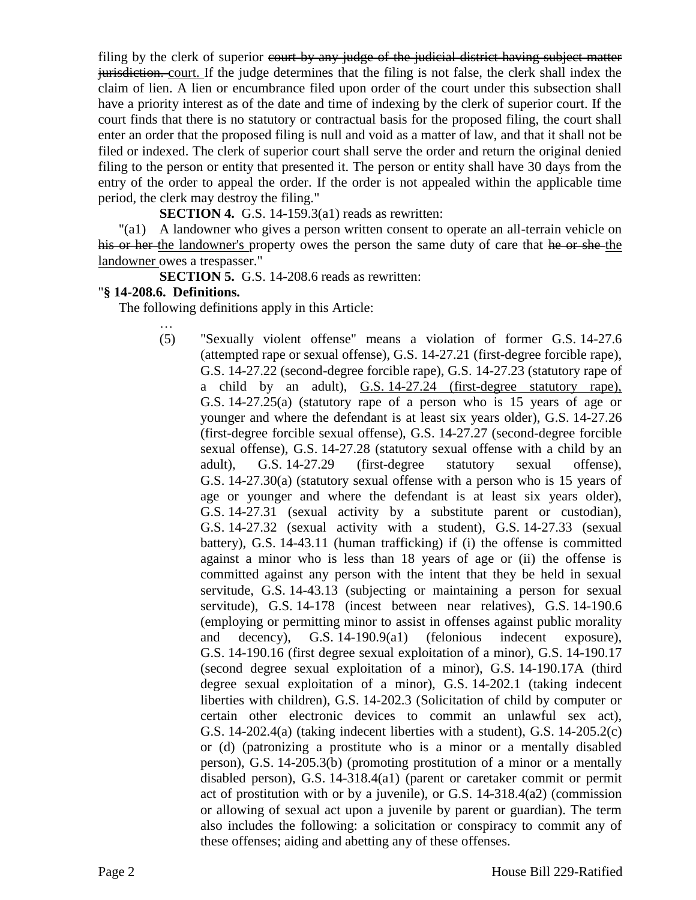filing by the clerk of superior court by any judge of the judicial district having subject matter jurisdiction. court. If the judge determines that the filing is not false, the clerk shall index the claim of lien. A lien or encumbrance filed upon order of the court under this subsection shall have a priority interest as of the date and time of indexing by the clerk of superior court. If the court finds that there is no statutory or contractual basis for the proposed filing, the court shall enter an order that the proposed filing is null and void as a matter of law, and that it shall not be filed or indexed. The clerk of superior court shall serve the order and return the original denied filing to the person or entity that presented it. The person or entity shall have 30 days from the entry of the order to appeal the order. If the order is not appealed within the applicable time period, the clerk may destroy the filing."

**SECTION 4.** G.S. 14-159.3(a1) reads as rewritten:

"(a1) A landowner who gives a person written consent to operate an all-terrain vehicle on his or her the landowner's property owes the person the same duty of care that he or she the landowner owes a trespasser."

**SECTION 5.** G.S. 14-208.6 reads as rewritten:

#### "**§ 14-208.6. Definitions.**

…

The following definitions apply in this Article:

(5) "Sexually violent offense" means a violation of former G.S. 14-27.6 (attempted rape or sexual offense), G.S. 14-27.21 (first-degree forcible rape), G.S. 14-27.22 (second-degree forcible rape), G.S. 14-27.23 (statutory rape of a child by an adult), G.S. 14-27.24 (first-degree statutory rape), G.S. 14-27.25(a) (statutory rape of a person who is 15 years of age or younger and where the defendant is at least six years older), G.S. 14-27.26 (first-degree forcible sexual offense), G.S. 14-27.27 (second-degree forcible sexual offense), G.S. 14-27.28 (statutory sexual offense with a child by an adult), G.S. 14-27.29 (first-degree statutory sexual offense), G.S. 14-27.30(a) (statutory sexual offense with a person who is 15 years of age or younger and where the defendant is at least six years older), G.S. 14-27.31 (sexual activity by a substitute parent or custodian), G.S. 14-27.32 (sexual activity with a student), G.S. 14-27.33 (sexual battery), G.S. 14-43.11 (human trafficking) if (i) the offense is committed against a minor who is less than 18 years of age or (ii) the offense is committed against any person with the intent that they be held in sexual servitude, G.S. 14-43.13 (subjecting or maintaining a person for sexual servitude), G.S. 14-178 (incest between near relatives), G.S. 14-190.6 (employing or permitting minor to assist in offenses against public morality and decency), G.S. 14-190.9(a1) (felonious indecent exposure), G.S. 14-190.16 (first degree sexual exploitation of a minor), G.S. 14-190.17 (second degree sexual exploitation of a minor), G.S. 14-190.17A (third degree sexual exploitation of a minor), G.S. 14-202.1 (taking indecent liberties with children), G.S. 14-202.3 (Solicitation of child by computer or certain other electronic devices to commit an unlawful sex act), G.S. 14-202.4(a) (taking indecent liberties with a student), G.S. 14-205.2(c) or (d) (patronizing a prostitute who is a minor or a mentally disabled person), G.S. 14-205.3(b) (promoting prostitution of a minor or a mentally disabled person), G.S. 14-318.4(a1) (parent or caretaker commit or permit act of prostitution with or by a juvenile), or G.S. 14-318.4(a2) (commission or allowing of sexual act upon a juvenile by parent or guardian). The term also includes the following: a solicitation or conspiracy to commit any of these offenses; aiding and abetting any of these offenses.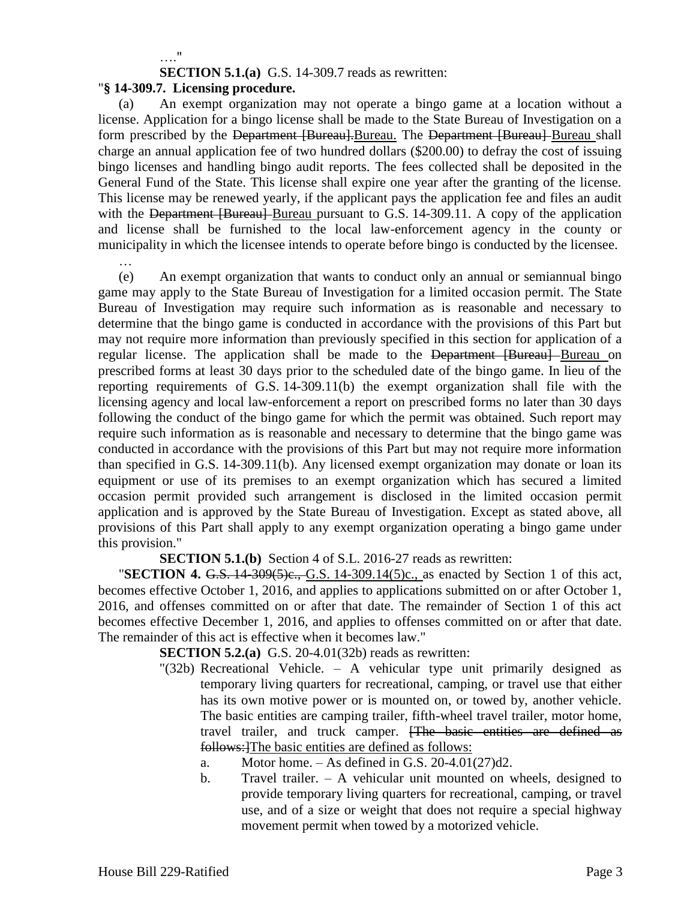…."

**SECTION 5.1.(a)** G.S. 14-309.7 reads as rewritten:

#### "**§ 14-309.7. Licensing procedure.**

(a) An exempt organization may not operate a bingo game at a location without a license. Application for a bingo license shall be made to the State Bureau of Investigation on a form prescribed by the Department [Bureau]. Bureau. The Department [Bureau] Bureau shall charge an annual application fee of two hundred dollars (\$200.00) to defray the cost of issuing bingo licenses and handling bingo audit reports. The fees collected shall be deposited in the General Fund of the State. This license shall expire one year after the granting of the license. This license may be renewed yearly, if the applicant pays the application fee and files an audit with the Department [Bureau] Bureau pursuant to G.S. 14-309.11. A copy of the application and license shall be furnished to the local law-enforcement agency in the county or municipality in which the licensee intends to operate before bingo is conducted by the licensee.

(e) An exempt organization that wants to conduct only an annual or semiannual bingo game may apply to the State Bureau of Investigation for a limited occasion permit. The State Bureau of Investigation may require such information as is reasonable and necessary to determine that the bingo game is conducted in accordance with the provisions of this Part but may not require more information than previously specified in this section for application of a regular license. The application shall be made to the Department [Bureau] Bureau on prescribed forms at least 30 days prior to the scheduled date of the bingo game. In lieu of the reporting requirements of G.S. 14-309.11(b) the exempt organization shall file with the licensing agency and local law-enforcement a report on prescribed forms no later than 30 days following the conduct of the bingo game for which the permit was obtained. Such report may require such information as is reasonable and necessary to determine that the bingo game was conducted in accordance with the provisions of this Part but may not require more information than specified in G.S. 14-309.11(b). Any licensed exempt organization may donate or loan its equipment or use of its premises to an exempt organization which has secured a limited occasion permit provided such arrangement is disclosed in the limited occasion permit application and is approved by the State Bureau of Investigation. Except as stated above, all provisions of this Part shall apply to any exempt organization operating a bingo game under this provision."

**SECTION 5.1.(b)** Section 4 of S.L. 2016-27 reads as rewritten:

"**SECTION 4.** G.S. 14-309(5)e., G.S. 14-309.14(5)c., as enacted by Section 1 of this act, becomes effective October 1, 2016, and applies to applications submitted on or after October 1, 2016, and offenses committed on or after that date. The remainder of Section 1 of this act becomes effective December 1, 2016, and applies to offenses committed on or after that date. The remainder of this act is effective when it becomes law."

**SECTION 5.2.(a)** G.S. 20-4.01(32b) reads as rewritten:

- "(32b) Recreational Vehicle. A vehicular type unit primarily designed as temporary living quarters for recreational, camping, or travel use that either has its own motive power or is mounted on, or towed by, another vehicle. The basic entities are camping trailer, fifth-wheel travel trailer, motor home, travel trailer, and truck camper. [The basic entities are defined as follows:]The basic entities are defined as follows:
	- a. Motor home.  $-$  As defined in G.S. 20-4.01(27)d2.
	- b. Travel trailer. A vehicular unit mounted on wheels, designed to provide temporary living quarters for recreational, camping, or travel use, and of a size or weight that does not require a special highway movement permit when towed by a motorized vehicle.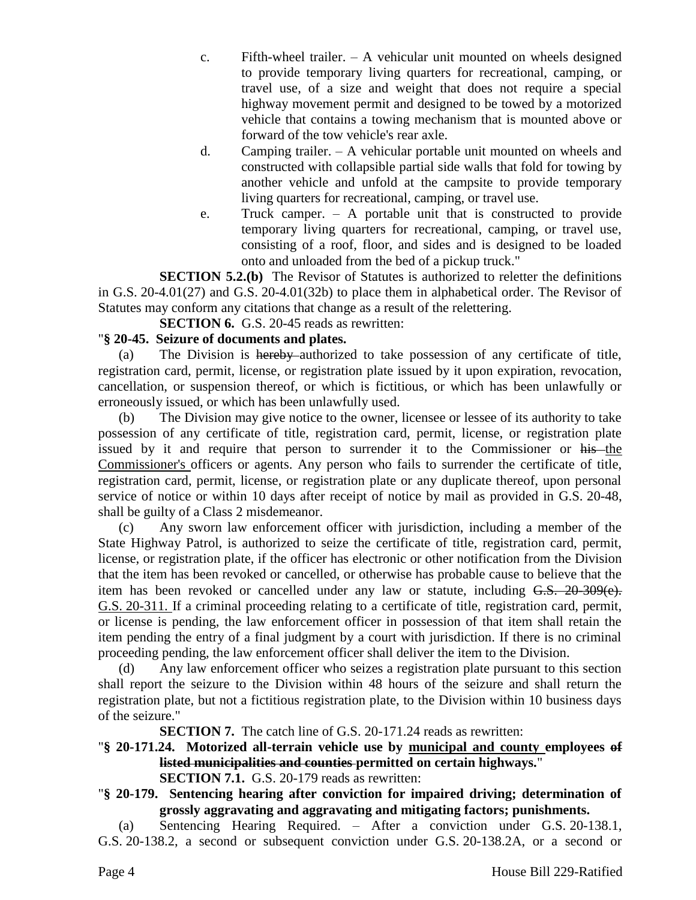- c. Fifth-wheel trailer. A vehicular unit mounted on wheels designed to provide temporary living quarters for recreational, camping, or travel use, of a size and weight that does not require a special highway movement permit and designed to be towed by a motorized vehicle that contains a towing mechanism that is mounted above or forward of the tow vehicle's rear axle.
- d. Camping trailer. A vehicular portable unit mounted on wheels and constructed with collapsible partial side walls that fold for towing by another vehicle and unfold at the campsite to provide temporary living quarters for recreational, camping, or travel use.
- e. Truck camper. A portable unit that is constructed to provide temporary living quarters for recreational, camping, or travel use, consisting of a roof, floor, and sides and is designed to be loaded onto and unloaded from the bed of a pickup truck."

**SECTION 5.2.(b)** The Revisor of Statutes is authorized to reletter the definitions in G.S. 20-4.01(27) and G.S. 20-4.01(32b) to place them in alphabetical order. The Revisor of Statutes may conform any citations that change as a result of the relettering.

**SECTION 6.** G.S. 20-45 reads as rewritten:

### "**§ 20-45. Seizure of documents and plates.**

(a) The Division is hereby authorized to take possession of any certificate of title, registration card, permit, license, or registration plate issued by it upon expiration, revocation, cancellation, or suspension thereof, or which is fictitious, or which has been unlawfully or erroneously issued, or which has been unlawfully used.

(b) The Division may give notice to the owner, licensee or lessee of its authority to take possession of any certificate of title, registration card, permit, license, or registration plate issued by it and require that person to surrender it to the Commissioner or his the Commissioner's officers or agents. Any person who fails to surrender the certificate of title, registration card, permit, license, or registration plate or any duplicate thereof, upon personal service of notice or within 10 days after receipt of notice by mail as provided in G.S. 20-48, shall be guilty of a Class 2 misdemeanor.

(c) Any sworn law enforcement officer with jurisdiction, including a member of the State Highway Patrol, is authorized to seize the certificate of title, registration card, permit, license, or registration plate, if the officer has electronic or other notification from the Division that the item has been revoked or cancelled, or otherwise has probable cause to believe that the item has been revoked or cancelled under any law or statute, including G.S. 20-309(e). G.S. 20-311. If a criminal proceeding relating to a certificate of title, registration card, permit, or license is pending, the law enforcement officer in possession of that item shall retain the item pending the entry of a final judgment by a court with jurisdiction. If there is no criminal proceeding pending, the law enforcement officer shall deliver the item to the Division.

(d) Any law enforcement officer who seizes a registration plate pursuant to this section shall report the seizure to the Division within 48 hours of the seizure and shall return the registration plate, but not a fictitious registration plate, to the Division within 10 business days of the seizure."

**SECTION 7.** The catch line of G.S. 20-171.24 reads as rewritten:

- "**§ 20-171.24. Motorized all-terrain vehicle use by municipal and county employees of listed municipalities and counties permitted on certain highways.**" **SECTION 7.1.** G.S. 20-179 reads as rewritten:
- "**§ 20-179. Sentencing hearing after conviction for impaired driving; determination of grossly aggravating and aggravating and mitigating factors; punishments.**

(a) Sentencing Hearing Required. – After a conviction under G.S. 20-138.1, G.S. 20-138.2, a second or subsequent conviction under G.S. 20-138.2A, or a second or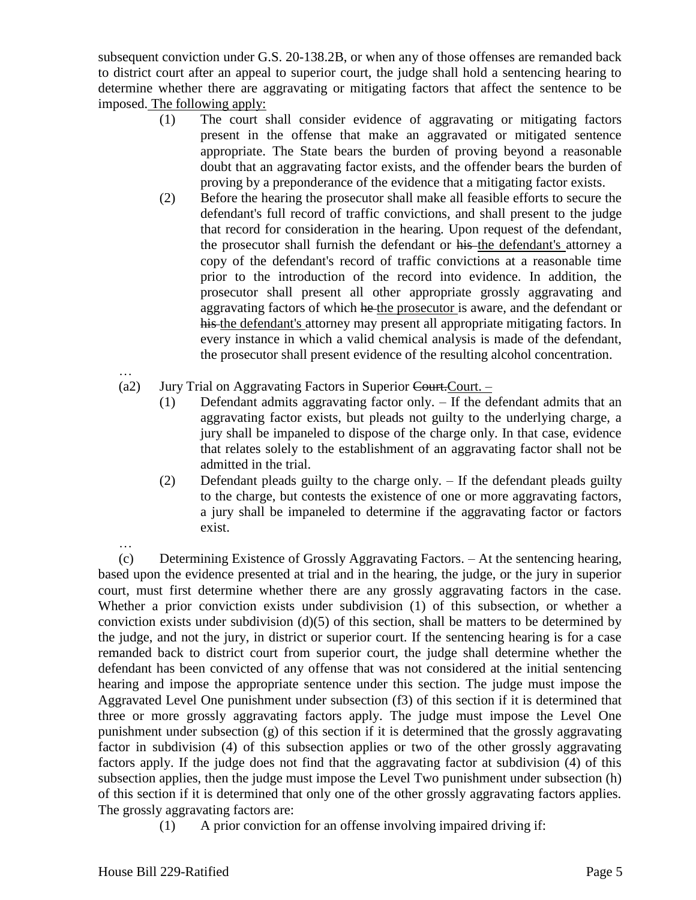subsequent conviction under G.S. 20-138.2B, or when any of those offenses are remanded back to district court after an appeal to superior court, the judge shall hold a sentencing hearing to determine whether there are aggravating or mitigating factors that affect the sentence to be imposed. The following apply:

- (1) The court shall consider evidence of aggravating or mitigating factors present in the offense that make an aggravated or mitigated sentence appropriate. The State bears the burden of proving beyond a reasonable doubt that an aggravating factor exists, and the offender bears the burden of proving by a preponderance of the evidence that a mitigating factor exists.
- (2) Before the hearing the prosecutor shall make all feasible efforts to secure the defendant's full record of traffic convictions, and shall present to the judge that record for consideration in the hearing. Upon request of the defendant, the prosecutor shall furnish the defendant or his the defendant's attorney a copy of the defendant's record of traffic convictions at a reasonable time prior to the introduction of the record into evidence. In addition, the prosecutor shall present all other appropriate grossly aggravating and aggravating factors of which he the prosecutor is aware, and the defendant or his the defendant's attorney may present all appropriate mitigating factors. In every instance in which a valid chemical analysis is made of the defendant, the prosecutor shall present evidence of the resulting alcohol concentration.
- (a2) Jury Trial on Aggravating Factors in Superior Court.
	- (1) Defendant admits aggravating factor only. If the defendant admits that an aggravating factor exists, but pleads not guilty to the underlying charge, a jury shall be impaneled to dispose of the charge only. In that case, evidence that relates solely to the establishment of an aggravating factor shall not be admitted in the trial.
	- (2) Defendant pleads guilty to the charge only. If the defendant pleads guilty to the charge, but contests the existence of one or more aggravating factors, a jury shall be impaneled to determine if the aggravating factor or factors exist.

(c) Determining Existence of Grossly Aggravating Factors. – At the sentencing hearing, based upon the evidence presented at trial and in the hearing, the judge, or the jury in superior court, must first determine whether there are any grossly aggravating factors in the case. Whether a prior conviction exists under subdivision (1) of this subsection, or whether a conviction exists under subdivision (d)(5) of this section, shall be matters to be determined by the judge, and not the jury, in district or superior court. If the sentencing hearing is for a case remanded back to district court from superior court, the judge shall determine whether the defendant has been convicted of any offense that was not considered at the initial sentencing hearing and impose the appropriate sentence under this section. The judge must impose the Aggravated Level One punishment under subsection (f3) of this section if it is determined that three or more grossly aggravating factors apply. The judge must impose the Level One punishment under subsection (g) of this section if it is determined that the grossly aggravating factor in subdivision (4) of this subsection applies or two of the other grossly aggravating factors apply. If the judge does not find that the aggravating factor at subdivision (4) of this subsection applies, then the judge must impose the Level Two punishment under subsection (h) of this section if it is determined that only one of the other grossly aggravating factors applies. The grossly aggravating factors are:

(1) A prior conviction for an offense involving impaired driving if:

…

…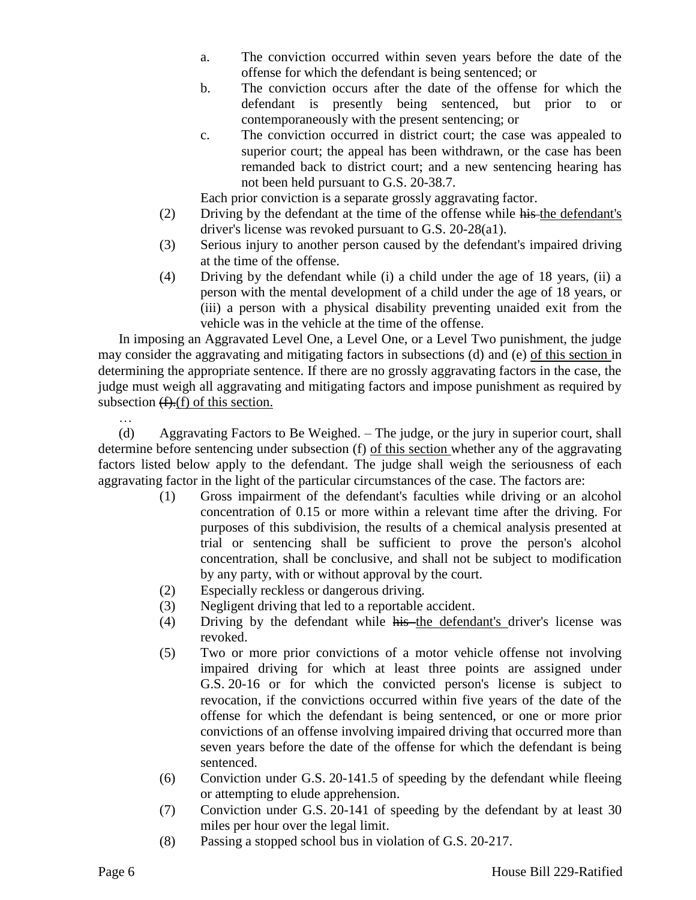- a. The conviction occurred within seven years before the date of the offense for which the defendant is being sentenced; or
- b. The conviction occurs after the date of the offense for which the defendant is presently being sentenced, but prior to or contemporaneously with the present sentencing; or
- c. The conviction occurred in district court; the case was appealed to superior court; the appeal has been withdrawn, or the case has been remanded back to district court; and a new sentencing hearing has not been held pursuant to G.S. 20-38.7.

Each prior conviction is a separate grossly aggravating factor.

- (2) Driving by the defendant at the time of the offense while his the defendant's driver's license was revoked pursuant to G.S. 20-28(a1).
- (3) Serious injury to another person caused by the defendant's impaired driving at the time of the offense.
- (4) Driving by the defendant while (i) a child under the age of 18 years, (ii) a person with the mental development of a child under the age of 18 years, or (iii) a person with a physical disability preventing unaided exit from the vehicle was in the vehicle at the time of the offense.

In imposing an Aggravated Level One, a Level One, or a Level Two punishment, the judge may consider the aggravating and mitigating factors in subsections (d) and (e) of this section in determining the appropriate sentence. If there are no grossly aggravating factors in the case, the judge must weigh all aggravating and mitigating factors and impose punishment as required by subsection  $(f)(f)$  of this section.

… (d) Aggravating Factors to Be Weighed. – The judge, or the jury in superior court, shall determine before sentencing under subsection (f) of this section whether any of the aggravating factors listed below apply to the defendant. The judge shall weigh the seriousness of each aggravating factor in the light of the particular circumstances of the case. The factors are:

- (1) Gross impairment of the defendant's faculties while driving or an alcohol concentration of 0.15 or more within a relevant time after the driving. For purposes of this subdivision, the results of a chemical analysis presented at trial or sentencing shall be sufficient to prove the person's alcohol concentration, shall be conclusive, and shall not be subject to modification by any party, with or without approval by the court.
- (2) Especially reckless or dangerous driving.
- (3) Negligent driving that led to a reportable accident.
- (4) Driving by the defendant while his the defendant's driver's license was revoked.
- (5) Two or more prior convictions of a motor vehicle offense not involving impaired driving for which at least three points are assigned under G.S. 20-16 or for which the convicted person's license is subject to revocation, if the convictions occurred within five years of the date of the offense for which the defendant is being sentenced, or one or more prior convictions of an offense involving impaired driving that occurred more than seven years before the date of the offense for which the defendant is being sentenced.
- (6) Conviction under G.S. 20-141.5 of speeding by the defendant while fleeing or attempting to elude apprehension.
- (7) Conviction under G.S. 20-141 of speeding by the defendant by at least 30 miles per hour over the legal limit.
- (8) Passing a stopped school bus in violation of G.S. 20-217.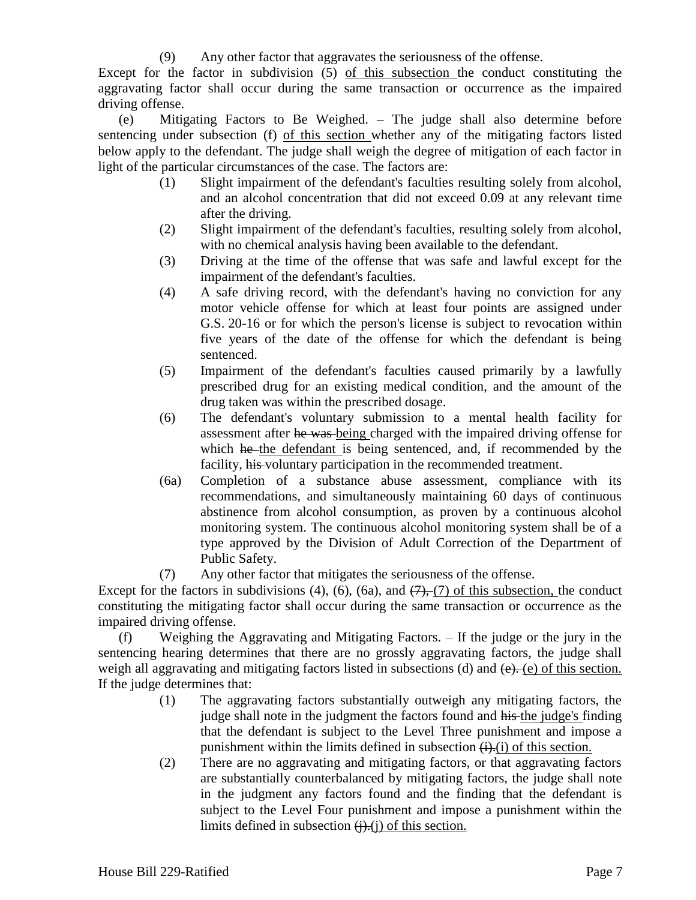(9) Any other factor that aggravates the seriousness of the offense.

Except for the factor in subdivision (5) of this subsection the conduct constituting the aggravating factor shall occur during the same transaction or occurrence as the impaired driving offense.

(e) Mitigating Factors to Be Weighed. – The judge shall also determine before sentencing under subsection (f) of this section whether any of the mitigating factors listed below apply to the defendant. The judge shall weigh the degree of mitigation of each factor in light of the particular circumstances of the case. The factors are:

- (1) Slight impairment of the defendant's faculties resulting solely from alcohol, and an alcohol concentration that did not exceed 0.09 at any relevant time after the driving.
- (2) Slight impairment of the defendant's faculties, resulting solely from alcohol, with no chemical analysis having been available to the defendant.
- (3) Driving at the time of the offense that was safe and lawful except for the impairment of the defendant's faculties.
- (4) A safe driving record, with the defendant's having no conviction for any motor vehicle offense for which at least four points are assigned under G.S. 20-16 or for which the person's license is subject to revocation within five years of the date of the offense for which the defendant is being sentenced.
- (5) Impairment of the defendant's faculties caused primarily by a lawfully prescribed drug for an existing medical condition, and the amount of the drug taken was within the prescribed dosage.
- (6) The defendant's voluntary submission to a mental health facility for assessment after he was being charged with the impaired driving offense for which he the defendant is being sentenced, and, if recommended by the facility, his voluntary participation in the recommended treatment.
- (6a) Completion of a substance abuse assessment, compliance with its recommendations, and simultaneously maintaining 60 days of continuous abstinence from alcohol consumption, as proven by a continuous alcohol monitoring system. The continuous alcohol monitoring system shall be of a type approved by the Division of Adult Correction of the Department of Public Safety.
- (7) Any other factor that mitigates the seriousness of the offense.

Except for the factors in subdivisions  $(4)$ ,  $(6)$ ,  $(6a)$ , and  $(7)$ ,  $(7)$  of this subsection, the conduct constituting the mitigating factor shall occur during the same transaction or occurrence as the impaired driving offense.

(f) Weighing the Aggravating and Mitigating Factors. – If the judge or the jury in the sentencing hearing determines that there are no grossly aggravating factors, the judge shall weigh all aggravating and mitigating factors listed in subsections (d) and  $(e)$ . (e) of this section. If the judge determines that:

- (1) The aggravating factors substantially outweigh any mitigating factors, the judge shall note in the judgment the factors found and his the judge's finding that the defendant is subject to the Level Three punishment and impose a punishment within the limits defined in subsection  $(i)$ . (i) of this section.
- (2) There are no aggravating and mitigating factors, or that aggravating factors are substantially counterbalanced by mitigating factors, the judge shall note in the judgment any factors found and the finding that the defendant is subject to the Level Four punishment and impose a punishment within the limits defined in subsection  $(i)$ . $(i)$  of this section.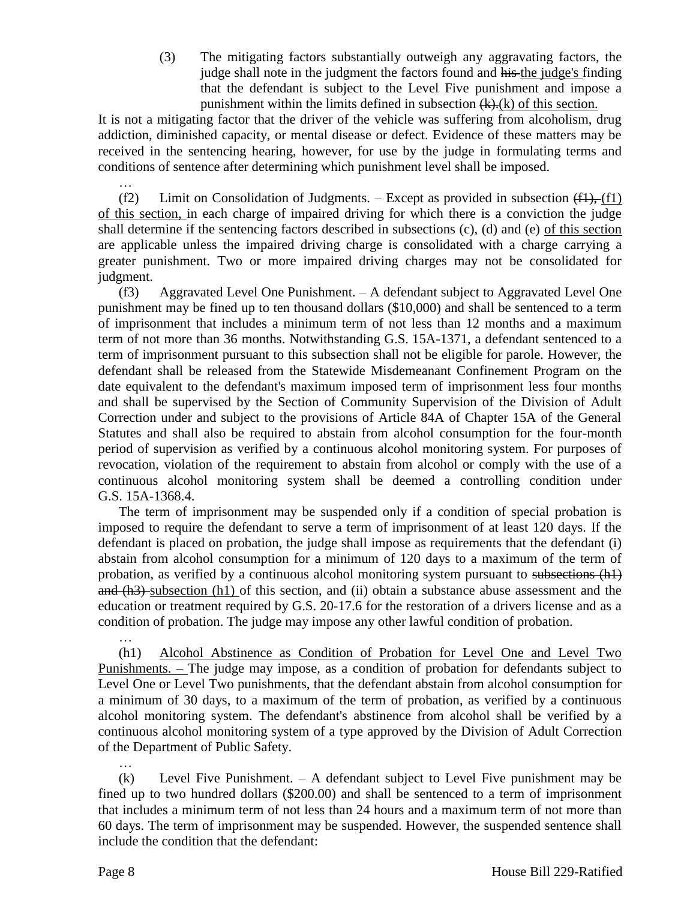(3) The mitigating factors substantially outweigh any aggravating factors, the judge shall note in the judgment the factors found and his the judge's finding that the defendant is subject to the Level Five punishment and impose a punishment within the limits defined in subsection  $(k)$ . $(k)$  of this section.

It is not a mitigating factor that the driver of the vehicle was suffering from alcoholism, drug addiction, diminished capacity, or mental disease or defect. Evidence of these matters may be received in the sentencing hearing, however, for use by the judge in formulating terms and conditions of sentence after determining which punishment level shall be imposed.

(f2) Limit on Consolidation of Judgments. – Except as provided in subsection  $(\text{f1}, \text{f1})$ of this section, in each charge of impaired driving for which there is a conviction the judge shall determine if the sentencing factors described in subsections (c), (d) and (e) of this section are applicable unless the impaired driving charge is consolidated with a charge carrying a greater punishment. Two or more impaired driving charges may not be consolidated for judgment.

(f3) Aggravated Level One Punishment. – A defendant subject to Aggravated Level One punishment may be fined up to ten thousand dollars (\$10,000) and shall be sentenced to a term of imprisonment that includes a minimum term of not less than 12 months and a maximum term of not more than 36 months. Notwithstanding G.S. 15A-1371, a defendant sentenced to a term of imprisonment pursuant to this subsection shall not be eligible for parole. However, the defendant shall be released from the Statewide Misdemeanant Confinement Program on the date equivalent to the defendant's maximum imposed term of imprisonment less four months and shall be supervised by the Section of Community Supervision of the Division of Adult Correction under and subject to the provisions of Article 84A of Chapter 15A of the General Statutes and shall also be required to abstain from alcohol consumption for the four-month period of supervision as verified by a continuous alcohol monitoring system. For purposes of revocation, violation of the requirement to abstain from alcohol or comply with the use of a continuous alcohol monitoring system shall be deemed a controlling condition under G.S. 15A-1368.4.

The term of imprisonment may be suspended only if a condition of special probation is imposed to require the defendant to serve a term of imprisonment of at least 120 days. If the defendant is placed on probation, the judge shall impose as requirements that the defendant (i) abstain from alcohol consumption for a minimum of 120 days to a maximum of the term of probation, as verified by a continuous alcohol monitoring system pursuant to subsections (h1) and (h3) subsection (h1) of this section, and (ii) obtain a substance abuse assessment and the education or treatment required by G.S. 20-17.6 for the restoration of a drivers license and as a condition of probation. The judge may impose any other lawful condition of probation.

… (h1) Alcohol Abstinence as Condition of Probation for Level One and Level Two Punishments. – The judge may impose, as a condition of probation for defendants subject to Level One or Level Two punishments, that the defendant abstain from alcohol consumption for a minimum of 30 days, to a maximum of the term of probation, as verified by a continuous alcohol monitoring system. The defendant's abstinence from alcohol shall be verified by a continuous alcohol monitoring system of a type approved by the Division of Adult Correction of the Department of Public Safety.

(k) Level Five Punishment. – A defendant subject to Level Five punishment may be fined up to two hundred dollars (\$200.00) and shall be sentenced to a term of imprisonment that includes a minimum term of not less than 24 hours and a maximum term of not more than 60 days. The term of imprisonment may be suspended. However, the suspended sentence shall include the condition that the defendant:

…

…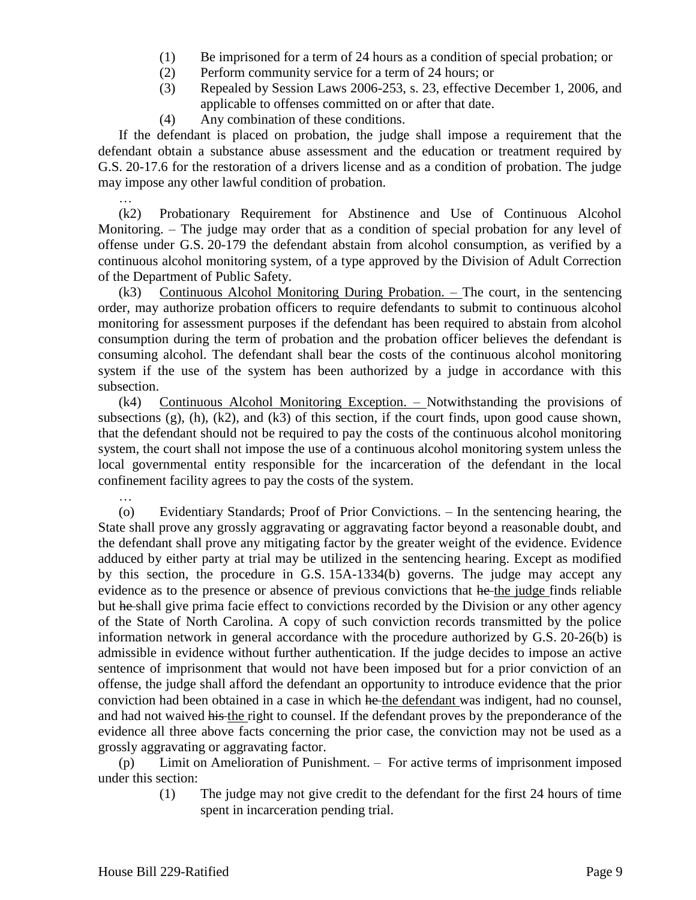- (1) Be imprisoned for a term of 24 hours as a condition of special probation; or
- (2) Perform community service for a term of 24 hours; or
- (3) Repealed by Session Laws 2006-253, s. 23, effective December 1, 2006, and applicable to offenses committed on or after that date.
- (4) Any combination of these conditions.

If the defendant is placed on probation, the judge shall impose a requirement that the defendant obtain a substance abuse assessment and the education or treatment required by G.S. 20-17.6 for the restoration of a drivers license and as a condition of probation. The judge may impose any other lawful condition of probation.

… (k2) Probationary Requirement for Abstinence and Use of Continuous Alcohol Monitoring. – The judge may order that as a condition of special probation for any level of offense under G.S. 20-179 the defendant abstain from alcohol consumption, as verified by a continuous alcohol monitoring system, of a type approved by the Division of Adult Correction of the Department of Public Safety.

(k3) Continuous Alcohol Monitoring During Probation. – The court, in the sentencing order, may authorize probation officers to require defendants to submit to continuous alcohol monitoring for assessment purposes if the defendant has been required to abstain from alcohol consumption during the term of probation and the probation officer believes the defendant is consuming alcohol. The defendant shall bear the costs of the continuous alcohol monitoring system if the use of the system has been authorized by a judge in accordance with this subsection.

(k4) Continuous Alcohol Monitoring Exception. – Notwithstanding the provisions of subsections (g), (h), (k2), and (k3) of this section, if the court finds, upon good cause shown, that the defendant should not be required to pay the costs of the continuous alcohol monitoring system, the court shall not impose the use of a continuous alcohol monitoring system unless the local governmental entity responsible for the incarceration of the defendant in the local confinement facility agrees to pay the costs of the system.

(o) Evidentiary Standards; Proof of Prior Convictions. – In the sentencing hearing, the State shall prove any grossly aggravating or aggravating factor beyond a reasonable doubt, and the defendant shall prove any mitigating factor by the greater weight of the evidence. Evidence adduced by either party at trial may be utilized in the sentencing hearing. Except as modified by this section, the procedure in G.S. 15A-1334(b) governs. The judge may accept any evidence as to the presence or absence of previous convictions that he the judge finds reliable but he shall give prima facie effect to convictions recorded by the Division or any other agency of the State of North Carolina. A copy of such conviction records transmitted by the police information network in general accordance with the procedure authorized by G.S. 20-26(b) is admissible in evidence without further authentication. If the judge decides to impose an active sentence of imprisonment that would not have been imposed but for a prior conviction of an offense, the judge shall afford the defendant an opportunity to introduce evidence that the prior conviction had been obtained in a case in which he the defendant was indigent, had no counsel, and had not waived his the right to counsel. If the defendant proves by the preponderance of the evidence all three above facts concerning the prior case, the conviction may not be used as a grossly aggravating or aggravating factor.

(p) Limit on Amelioration of Punishment. – For active terms of imprisonment imposed under this section:

> (1) The judge may not give credit to the defendant for the first 24 hours of time spent in incarceration pending trial.

…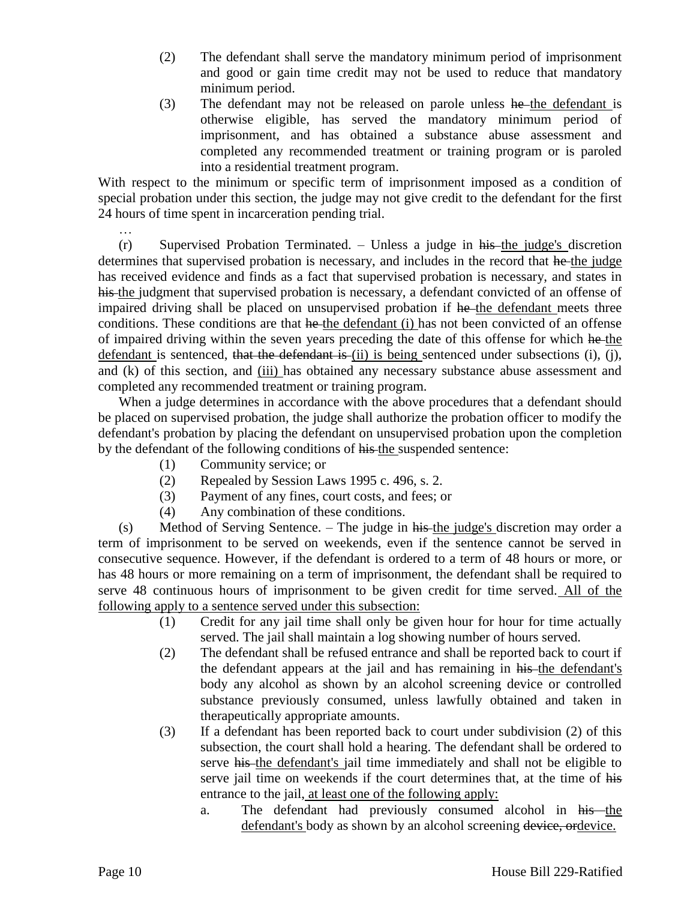- (2) The defendant shall serve the mandatory minimum period of imprisonment and good or gain time credit may not be used to reduce that mandatory minimum period.
- (3) The defendant may not be released on parole unless he-the defendant is otherwise eligible, has served the mandatory minimum period of imprisonment, and has obtained a substance abuse assessment and completed any recommended treatment or training program or is paroled into a residential treatment program.

With respect to the minimum or specific term of imprisonment imposed as a condition of special probation under this section, the judge may not give credit to the defendant for the first 24 hours of time spent in incarceration pending trial.

 $(r)$  Supervised Probation Terminated. – Unless a judge in his the judge's discretion determines that supervised probation is necessary, and includes in the record that he the judge has received evidence and finds as a fact that supervised probation is necessary, and states in his the judgment that supervised probation is necessary, a defendant convicted of an offense of impaired driving shall be placed on unsupervised probation if he the defendant meets three conditions. These conditions are that he-the defendant (i) has not been convicted of an offense of impaired driving within the seven years preceding the date of this offense for which he the defendant is sentenced, that the defendant is (ii) is being sentenced under subsections (i), (j), and (k) of this section, and (iii) has obtained any necessary substance abuse assessment and completed any recommended treatment or training program.

When a judge determines in accordance with the above procedures that a defendant should be placed on supervised probation, the judge shall authorize the probation officer to modify the defendant's probation by placing the defendant on unsupervised probation upon the completion by the defendant of the following conditions of his the suspended sentence:

- (1) Community service; or
- (2) Repealed by Session Laws 1995 c. 496, s. 2.
- (3) Payment of any fines, court costs, and fees; or
- (4) Any combination of these conditions.

(s) Method of Serving Sentence. – The judge in his the judge's discretion may order a term of imprisonment to be served on weekends, even if the sentence cannot be served in consecutive sequence. However, if the defendant is ordered to a term of 48 hours or more, or has 48 hours or more remaining on a term of imprisonment, the defendant shall be required to serve 48 continuous hours of imprisonment to be given credit for time served. All of the following apply to a sentence served under this subsection:

- (1) Credit for any jail time shall only be given hour for hour for time actually served. The jail shall maintain a log showing number of hours served.
- (2) The defendant shall be refused entrance and shall be reported back to court if the defendant appears at the jail and has remaining in his the defendant's body any alcohol as shown by an alcohol screening device or controlled substance previously consumed, unless lawfully obtained and taken in therapeutically appropriate amounts.
- (3) If a defendant has been reported back to court under subdivision (2) of this subsection, the court shall hold a hearing. The defendant shall be ordered to serve his the defendant's jail time immediately and shall not be eligible to serve jail time on weekends if the court determines that, at the time of his entrance to the jail, at least one of the following apply:
	- a. The defendant had previously consumed alcohol in his the defendant's body as shown by an alcohol screening device, ordevice.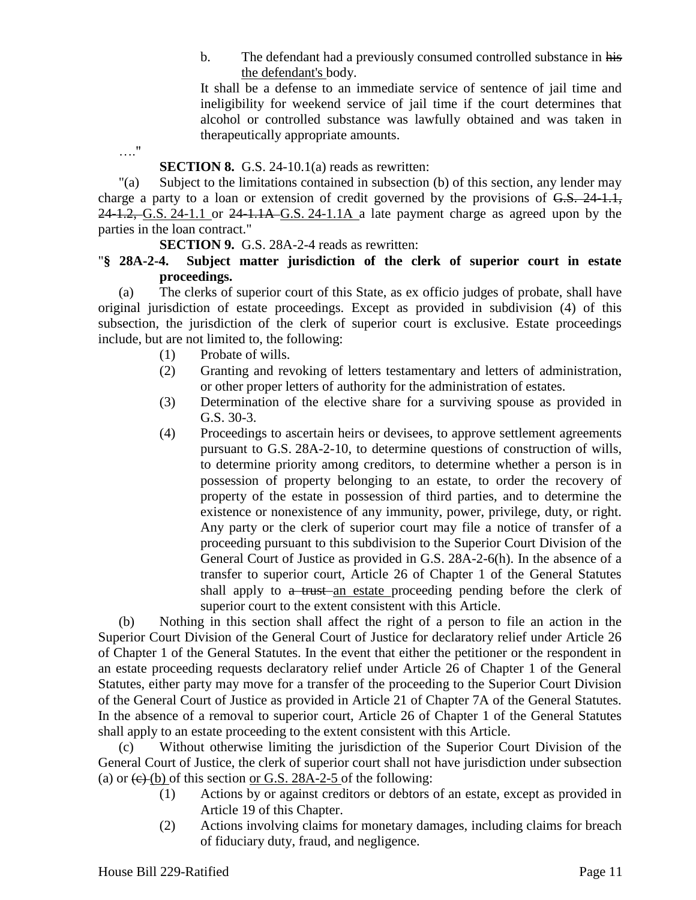b. The defendant had a previously consumed controlled substance in his the defendant's body.

It shall be a defense to an immediate service of sentence of jail time and ineligibility for weekend service of jail time if the court determines that alcohol or controlled substance was lawfully obtained and was taken in therapeutically appropriate amounts.

…."

#### **SECTION 8.** G.S. 24-10.1(a) reads as rewritten:

"(a) Subject to the limitations contained in subsection (b) of this section, any lender may charge a party to a loan or extension of credit governed by the provisions of G.S. 24-1.1,  $24-1.2$ , G.S. 24-1.1 or  $24-1.1A$  G.S. 24-1.1A a late payment charge as agreed upon by the parties in the loan contract."

**SECTION 9.** G.S. 28A-2-4 reads as rewritten:

### "**§ 28A-2-4. Subject matter jurisdiction of the clerk of superior court in estate proceedings.**

(a) The clerks of superior court of this State, as ex officio judges of probate, shall have original jurisdiction of estate proceedings. Except as provided in subdivision (4) of this subsection, the jurisdiction of the clerk of superior court is exclusive. Estate proceedings include, but are not limited to, the following:

- (1) Probate of wills.
- (2) Granting and revoking of letters testamentary and letters of administration, or other proper letters of authority for the administration of estates.
- (3) Determination of the elective share for a surviving spouse as provided in G.S. 30-3.
- (4) Proceedings to ascertain heirs or devisees, to approve settlement agreements pursuant to G.S. 28A-2-10, to determine questions of construction of wills, to determine priority among creditors, to determine whether a person is in possession of property belonging to an estate, to order the recovery of property of the estate in possession of third parties, and to determine the existence or nonexistence of any immunity, power, privilege, duty, or right. Any party or the clerk of superior court may file a notice of transfer of a proceeding pursuant to this subdivision to the Superior Court Division of the General Court of Justice as provided in G.S. 28A-2-6(h). In the absence of a transfer to superior court, Article 26 of Chapter 1 of the General Statutes shall apply to a trust an estate proceeding pending before the clerk of superior court to the extent consistent with this Article.

(b) Nothing in this section shall affect the right of a person to file an action in the Superior Court Division of the General Court of Justice for declaratory relief under Article 26 of Chapter 1 of the General Statutes. In the event that either the petitioner or the respondent in an estate proceeding requests declaratory relief under Article 26 of Chapter 1 of the General Statutes, either party may move for a transfer of the proceeding to the Superior Court Division of the General Court of Justice as provided in Article 21 of Chapter 7A of the General Statutes. In the absence of a removal to superior court, Article 26 of Chapter 1 of the General Statutes shall apply to an estate proceeding to the extent consistent with this Article.

(c) Without otherwise limiting the jurisdiction of the Superior Court Division of the General Court of Justice, the clerk of superior court shall not have jurisdiction under subsection (a) or  $\left(\frac{e}{e}\right)$  (b) of this section or G.S. 28A-2-5 of the following:

- (1) Actions by or against creditors or debtors of an estate, except as provided in Article 19 of this Chapter.
- (2) Actions involving claims for monetary damages, including claims for breach of fiduciary duty, fraud, and negligence.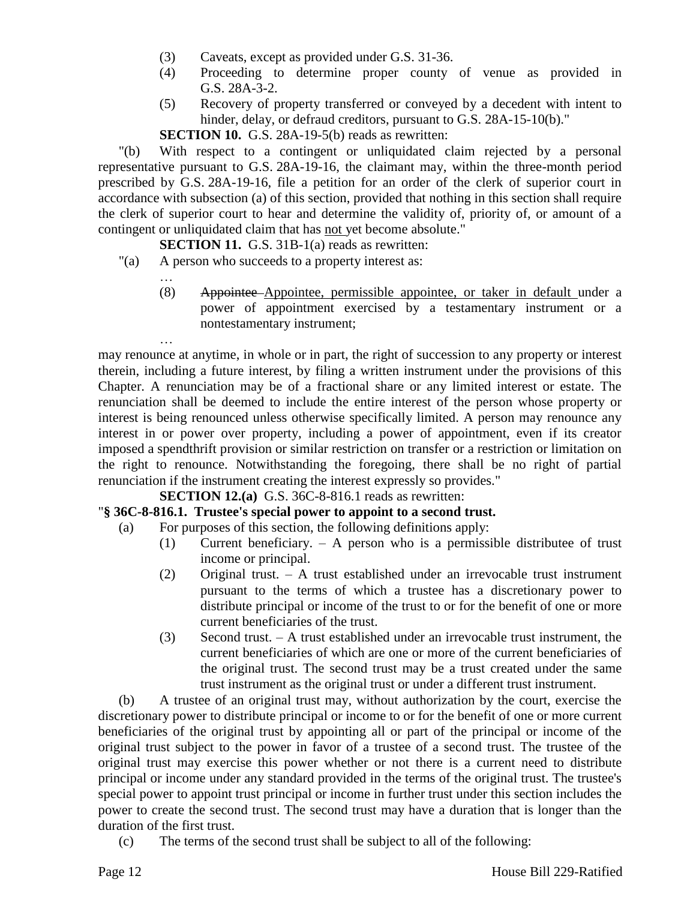- (3) Caveats, except as provided under G.S. 31-36.
- (4) Proceeding to determine proper county of venue as provided in G.S. 28A-3-2.
- (5) Recovery of property transferred or conveyed by a decedent with intent to hinder, delay, or defraud creditors, pursuant to G.S. 28A-15-10(b)."

**SECTION 10.** G.S. 28A-19-5(b) reads as rewritten:

"(b) With respect to a contingent or unliquidated claim rejected by a personal representative pursuant to G.S. 28A-19-16, the claimant may, within the three-month period prescribed by G.S. 28A-19-16, file a petition for an order of the clerk of superior court in accordance with subsection (a) of this section, provided that nothing in this section shall require the clerk of superior court to hear and determine the validity of, priority of, or amount of a contingent or unliquidated claim that has not yet become absolute."

#### **SECTION 11.** G.S. 31B-1(a) reads as rewritten:

"(a) A person who succeeds to a property interest as:

…

…

(8) Appointee Appointee, permissible appointee, or taker in default under a power of appointment exercised by a testamentary instrument or a nontestamentary instrument;

may renounce at anytime, in whole or in part, the right of succession to any property or interest therein, including a future interest, by filing a written instrument under the provisions of this Chapter. A renunciation may be of a fractional share or any limited interest or estate. The renunciation shall be deemed to include the entire interest of the person whose property or interest is being renounced unless otherwise specifically limited. A person may renounce any interest in or power over property, including a power of appointment, even if its creator imposed a spendthrift provision or similar restriction on transfer or a restriction or limitation on the right to renounce. Notwithstanding the foregoing, there shall be no right of partial renunciation if the instrument creating the interest expressly so provides."

**SECTION 12.(a)** G.S. 36C-8-816.1 reads as rewritten:

#### "**§ 36C-8-816.1. Trustee's special power to appoint to a second trust.**

- (a) For purposes of this section, the following definitions apply:
	- (1) Current beneficiary. A person who is a permissible distributee of trust income or principal.
	- (2) Original trust. A trust established under an irrevocable trust instrument pursuant to the terms of which a trustee has a discretionary power to distribute principal or income of the trust to or for the benefit of one or more current beneficiaries of the trust.
	- (3) Second trust. A trust established under an irrevocable trust instrument, the current beneficiaries of which are one or more of the current beneficiaries of the original trust. The second trust may be a trust created under the same trust instrument as the original trust or under a different trust instrument.

(b) A trustee of an original trust may, without authorization by the court, exercise the discretionary power to distribute principal or income to or for the benefit of one or more current beneficiaries of the original trust by appointing all or part of the principal or income of the original trust subject to the power in favor of a trustee of a second trust. The trustee of the original trust may exercise this power whether or not there is a current need to distribute principal or income under any standard provided in the terms of the original trust. The trustee's special power to appoint trust principal or income in further trust under this section includes the power to create the second trust. The second trust may have a duration that is longer than the duration of the first trust.

(c) The terms of the second trust shall be subject to all of the following: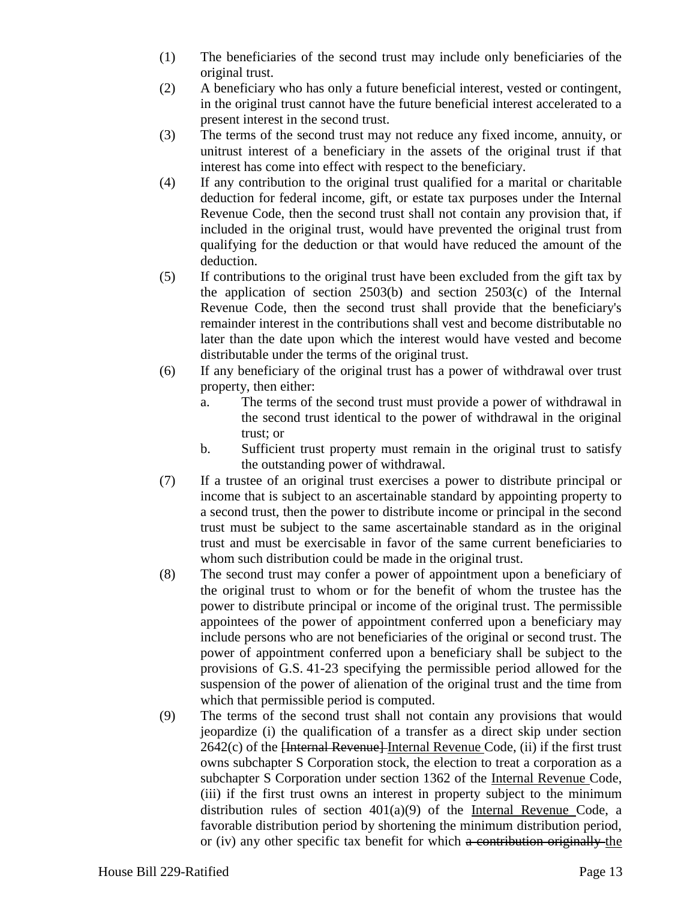- (1) The beneficiaries of the second trust may include only beneficiaries of the original trust.
- (2) A beneficiary who has only a future beneficial interest, vested or contingent, in the original trust cannot have the future beneficial interest accelerated to a present interest in the second trust.
- (3) The terms of the second trust may not reduce any fixed income, annuity, or unitrust interest of a beneficiary in the assets of the original trust if that interest has come into effect with respect to the beneficiary.
- (4) If any contribution to the original trust qualified for a marital or charitable deduction for federal income, gift, or estate tax purposes under the Internal Revenue Code, then the second trust shall not contain any provision that, if included in the original trust, would have prevented the original trust from qualifying for the deduction or that would have reduced the amount of the deduction.
- (5) If contributions to the original trust have been excluded from the gift tax by the application of section 2503(b) and section 2503(c) of the Internal Revenue Code, then the second trust shall provide that the beneficiary's remainder interest in the contributions shall vest and become distributable no later than the date upon which the interest would have vested and become distributable under the terms of the original trust.
- (6) If any beneficiary of the original trust has a power of withdrawal over trust property, then either:
	- a. The terms of the second trust must provide a power of withdrawal in the second trust identical to the power of withdrawal in the original trust; or
	- b. Sufficient trust property must remain in the original trust to satisfy the outstanding power of withdrawal.
- (7) If a trustee of an original trust exercises a power to distribute principal or income that is subject to an ascertainable standard by appointing property to a second trust, then the power to distribute income or principal in the second trust must be subject to the same ascertainable standard as in the original trust and must be exercisable in favor of the same current beneficiaries to whom such distribution could be made in the original trust.
- (8) The second trust may confer a power of appointment upon a beneficiary of the original trust to whom or for the benefit of whom the trustee has the power to distribute principal or income of the original trust. The permissible appointees of the power of appointment conferred upon a beneficiary may include persons who are not beneficiaries of the original or second trust. The power of appointment conferred upon a beneficiary shall be subject to the provisions of G.S. 41-23 specifying the permissible period allowed for the suspension of the power of alienation of the original trust and the time from which that permissible period is computed.
- (9) The terms of the second trust shall not contain any provisions that would jeopardize (i) the qualification of a transfer as a direct skip under section  $2642(c)$  of the  $\overline{\text{Herternal Revenue}}$  Internal Revenue Code, (ii) if the first trust owns subchapter S Corporation stock, the election to treat a corporation as a subchapter S Corporation under section 1362 of the Internal Revenue Code, (iii) if the first trust owns an interest in property subject to the minimum distribution rules of section 401(a)(9) of the Internal Revenue Code, a favorable distribution period by shortening the minimum distribution period, or (iv) any other specific tax benefit for which a contribution originally the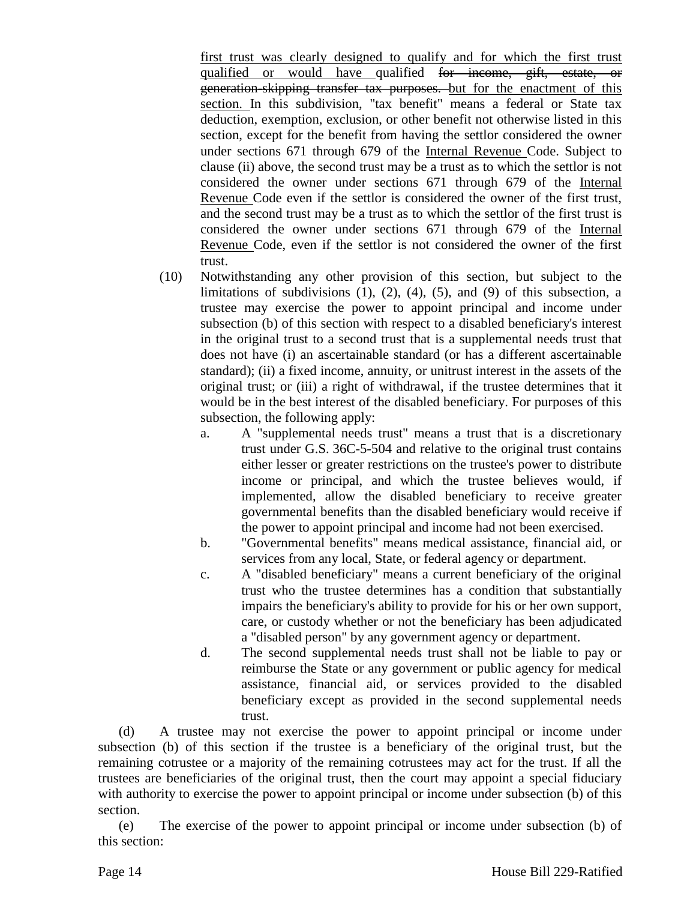first trust was clearly designed to qualify and for which the first trust qualified or would have qualified for income, gift, estate, or generation-skipping transfer tax purposes. but for the enactment of this section. In this subdivision, "tax benefit" means a federal or State tax deduction, exemption, exclusion, or other benefit not otherwise listed in this section, except for the benefit from having the settlor considered the owner under sections 671 through 679 of the Internal Revenue Code. Subject to clause (ii) above, the second trust may be a trust as to which the settlor is not considered the owner under sections 671 through 679 of the Internal Revenue Code even if the settlor is considered the owner of the first trust, and the second trust may be a trust as to which the settlor of the first trust is considered the owner under sections 671 through 679 of the Internal Revenue Code, even if the settlor is not considered the owner of the first trust.

- (10) Notwithstanding any other provision of this section, but subject to the limitations of subdivisions  $(1)$ ,  $(2)$ ,  $(4)$ ,  $(5)$ , and  $(9)$  of this subsection, a trustee may exercise the power to appoint principal and income under subsection (b) of this section with respect to a disabled beneficiary's interest in the original trust to a second trust that is a supplemental needs trust that does not have (i) an ascertainable standard (or has a different ascertainable standard); (ii) a fixed income, annuity, or unitrust interest in the assets of the original trust; or (iii) a right of withdrawal, if the trustee determines that it would be in the best interest of the disabled beneficiary. For purposes of this subsection, the following apply:
	- a. A "supplemental needs trust" means a trust that is a discretionary trust under G.S. 36C-5-504 and relative to the original trust contains either lesser or greater restrictions on the trustee's power to distribute income or principal, and which the trustee believes would, if implemented, allow the disabled beneficiary to receive greater governmental benefits than the disabled beneficiary would receive if the power to appoint principal and income had not been exercised.
	- b. "Governmental benefits" means medical assistance, financial aid, or services from any local, State, or federal agency or department.
	- c. A "disabled beneficiary" means a current beneficiary of the original trust who the trustee determines has a condition that substantially impairs the beneficiary's ability to provide for his or her own support, care, or custody whether or not the beneficiary has been adjudicated a "disabled person" by any government agency or department.
	- d. The second supplemental needs trust shall not be liable to pay or reimburse the State or any government or public agency for medical assistance, financial aid, or services provided to the disabled beneficiary except as provided in the second supplemental needs trust.

(d) A trustee may not exercise the power to appoint principal or income under subsection (b) of this section if the trustee is a beneficiary of the original trust, but the remaining cotrustee or a majority of the remaining cotrustees may act for the trust. If all the trustees are beneficiaries of the original trust, then the court may appoint a special fiduciary with authority to exercise the power to appoint principal or income under subsection (b) of this section.

(e) The exercise of the power to appoint principal or income under subsection (b) of this section: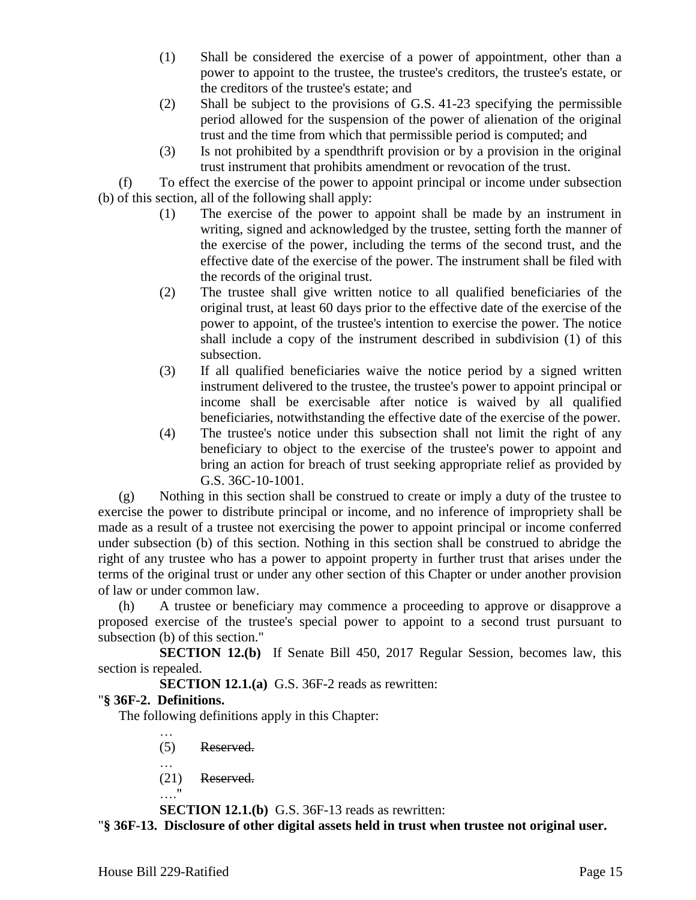- (1) Shall be considered the exercise of a power of appointment, other than a power to appoint to the trustee, the trustee's creditors, the trustee's estate, or the creditors of the trustee's estate; and
- (2) Shall be subject to the provisions of G.S. 41-23 specifying the permissible period allowed for the suspension of the power of alienation of the original trust and the time from which that permissible period is computed; and
- (3) Is not prohibited by a spendthrift provision or by a provision in the original trust instrument that prohibits amendment or revocation of the trust.

(f) To effect the exercise of the power to appoint principal or income under subsection (b) of this section, all of the following shall apply:

- (1) The exercise of the power to appoint shall be made by an instrument in writing, signed and acknowledged by the trustee, setting forth the manner of the exercise of the power, including the terms of the second trust, and the effective date of the exercise of the power. The instrument shall be filed with the records of the original trust.
- (2) The trustee shall give written notice to all qualified beneficiaries of the original trust, at least 60 days prior to the effective date of the exercise of the power to appoint, of the trustee's intention to exercise the power. The notice shall include a copy of the instrument described in subdivision (1) of this subsection.
- (3) If all qualified beneficiaries waive the notice period by a signed written instrument delivered to the trustee, the trustee's power to appoint principal or income shall be exercisable after notice is waived by all qualified beneficiaries, notwithstanding the effective date of the exercise of the power.
- (4) The trustee's notice under this subsection shall not limit the right of any beneficiary to object to the exercise of the trustee's power to appoint and bring an action for breach of trust seeking appropriate relief as provided by G.S. 36C-10-1001.

(g) Nothing in this section shall be construed to create or imply a duty of the trustee to exercise the power to distribute principal or income, and no inference of impropriety shall be made as a result of a trustee not exercising the power to appoint principal or income conferred under subsection (b) of this section. Nothing in this section shall be construed to abridge the right of any trustee who has a power to appoint property in further trust that arises under the terms of the original trust or under any other section of this Chapter or under another provision of law or under common law.

(h) A trustee or beneficiary may commence a proceeding to approve or disapprove a proposed exercise of the trustee's special power to appoint to a second trust pursuant to subsection (b) of this section."

**SECTION 12.(b)** If Senate Bill 450, 2017 Regular Session, becomes law, this section is repealed.

**SECTION 12.1.(a)** G.S. 36F-2 reads as rewritten:

# "**§ 36F-2. Definitions.**

…

The following definitions apply in this Chapter:

(5) Reserved.

… (21) Reserved.

…."

**SECTION 12.1.(b)** G.S. 36F-13 reads as rewritten:

"**§ 36F-13. Disclosure of other digital assets held in trust when trustee not original user.**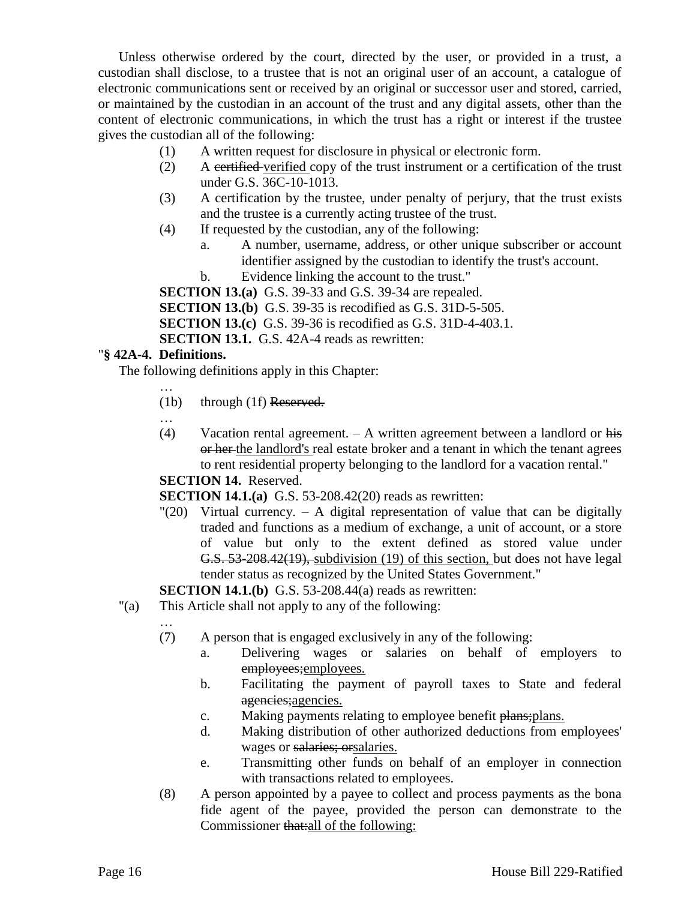Unless otherwise ordered by the court, directed by the user, or provided in a trust, a custodian shall disclose, to a trustee that is not an original user of an account, a catalogue of electronic communications sent or received by an original or successor user and stored, carried, or maintained by the custodian in an account of the trust and any digital assets, other than the content of electronic communications, in which the trust has a right or interest if the trustee gives the custodian all of the following:

- (1) A written request for disclosure in physical or electronic form.
- (2) A certified verified copy of the trust instrument or a certification of the trust under G.S. 36C-10-1013.
- (3) A certification by the trustee, under penalty of perjury, that the trust exists and the trustee is a currently acting trustee of the trust.
- (4) If requested by the custodian, any of the following:
	- a. A number, username, address, or other unique subscriber or account identifier assigned by the custodian to identify the trust's account.
		- b. Evidence linking the account to the trust."

**SECTION 13.(a)** G.S. 39-33 and G.S. 39-34 are repealed. **SECTION 13.(b)** G.S. 39-35 is recodified as G.S. 31D-5-505. **SECTION 13.(c)** G.S. 39-36 is recodified as G.S. 31D-4-403.1. **SECTION 13.1.** G.S. 42A-4 reads as rewritten:

### "**§ 42A-4. Definitions.**

The following definitions apply in this Chapter:

- (1b) through (1f) Reserved.
- …
- (4) Vacation rental agreement. A written agreement between a landlord or his or her the landlord's real estate broker and a tenant in which the tenant agrees to rent residential property belonging to the landlord for a vacation rental."

#### **SECTION 14.** Reserved.

**SECTION 14.1.(a)** G.S. 53-208.42(20) reads as rewritten:

 $\degree$  (20) Virtual currency.  $-$  A digital representation of value that can be digitally traded and functions as a medium of exchange, a unit of account, or a store of value but only to the extent defined as stored value under G.S. 53-208.42(19), subdivision (19) of this section, but does not have legal tender status as recognized by the United States Government."

**SECTION 14.1.(b)** G.S. 53-208.44(a) reads as rewritten:

- "(a) This Article shall not apply to any of the following:
	-
	- (7) A person that is engaged exclusively in any of the following:
		- a. Delivering wages or salaries on behalf of employers to employees;employees.
		- b. Facilitating the payment of payroll taxes to State and federal agencies; agencies.
		- c. Making payments relating to employee benefit plans; plans.
		- d. Making distribution of other authorized deductions from employees' wages or salaries; orsalaries.
		- e. Transmitting other funds on behalf of an employer in connection with transactions related to employees.
	- (8) A person appointed by a payee to collect and process payments as the bona fide agent of the payee, provided the person can demonstrate to the Commissioner that:all of the following: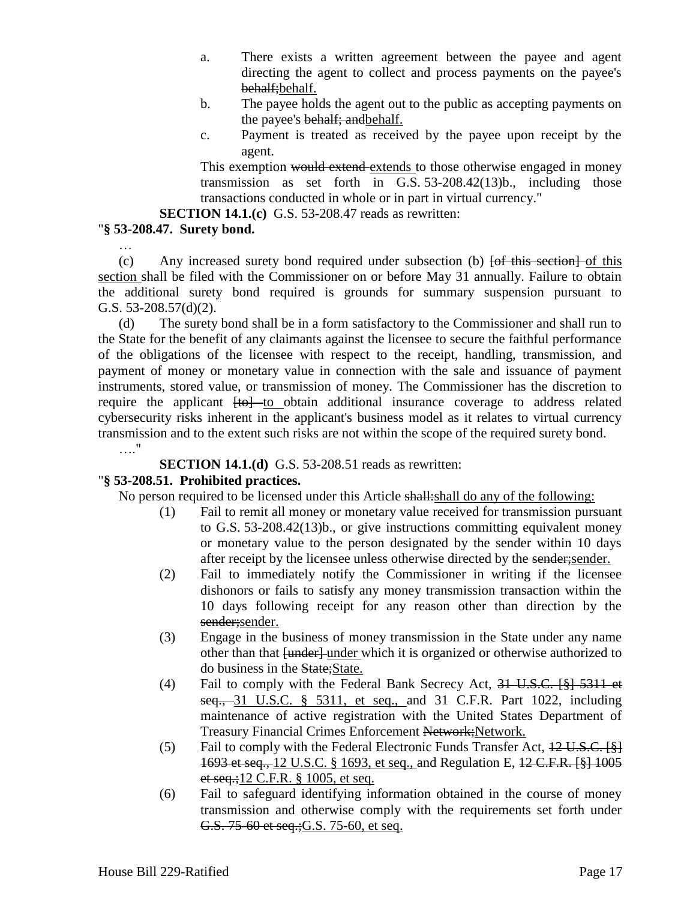- a. There exists a written agreement between the payee and agent directing the agent to collect and process payments on the payee's behalf; behalf.
- b. The payee holds the agent out to the public as accepting payments on the payee's behalf; and behalf.
- c. Payment is treated as received by the payee upon receipt by the agent.

This exemption would extend extends to those otherwise engaged in money transmission as set forth in G.S. 53-208.42(13)b., including those transactions conducted in whole or in part in virtual currency."

**SECTION 14.1.(c)** G.S. 53-208.47 reads as rewritten:

# "**§ 53-208.47. Surety bond.**

…

 $(c)$  Any increased surety bond required under subsection (b)  $f$  to this section of this section shall be filed with the Commissioner on or before May 31 annually. Failure to obtain the additional surety bond required is grounds for summary suspension pursuant to G.S. 53-208.57(d)(2).

(d) The surety bond shall be in a form satisfactory to the Commissioner and shall run to the State for the benefit of any claimants against the licensee to secure the faithful performance of the obligations of the licensee with respect to the receipt, handling, transmission, and payment of money or monetary value in connection with the sale and issuance of payment instruments, stored value, or transmission of money. The Commissioner has the discretion to require the applicant  $[t0]$  to obtain additional insurance coverage to address related cybersecurity risks inherent in the applicant's business model as it relates to virtual currency transmission and to the extent such risks are not within the scope of the required surety bond. …."

**SECTION 14.1.(d)** G.S. 53-208.51 reads as rewritten:

# "**§ 53-208.51. Prohibited practices.**

No person required to be licensed under this Article shall: shall do any of the following:

- (1) Fail to remit all money or monetary value received for transmission pursuant to G.S. 53-208.42(13)b., or give instructions committing equivalent money or monetary value to the person designated by the sender within 10 days after receipt by the licensee unless otherwise directed by the sender;sender.
- (2) Fail to immediately notify the Commissioner in writing if the licensee dishonors or fails to satisfy any money transmission transaction within the 10 days following receipt for any reason other than direction by the sender; sender.
- (3) Engage in the business of money transmission in the State under any name other than that  $\overline{f$ under $\overline{f}$  under which it is organized or otherwise authorized to do business in the State;State.
- (4) Fail to comply with the Federal Bank Secrecy Act, 31 U.S.C. [§] 5311 et seq., 31 U.S.C. § 5311, et seq., and 31 C.F.R. Part 1022, including maintenance of active registration with the United States Department of Treasury Financial Crimes Enforcement Network;Network.
- (5) Fail to comply with the Federal Electronic Funds Transfer Act,  $12 \text{ U.S.C.}$  [§] 1693 et seq., 12 U.S.C. § 1693, et seq., and Regulation E, 12 C.F.R. [§] 1005 et seq.;12 C.F.R. § 1005, et seq.
- (6) Fail to safeguard identifying information obtained in the course of money transmission and otherwise comply with the requirements set forth under G.S. 75-60 et seq.; G.S. 75-60, et seq.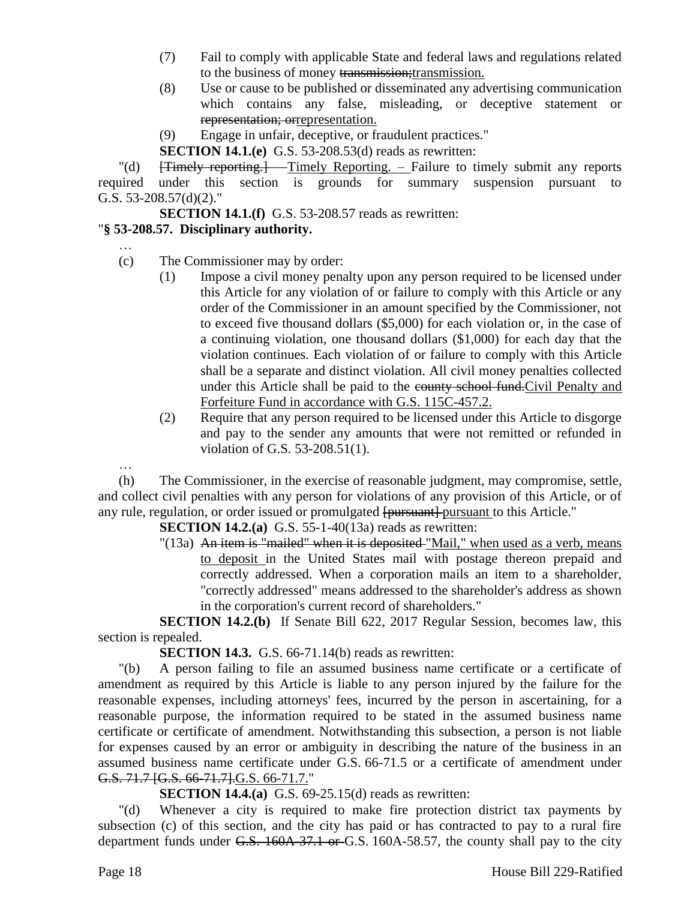- (7) Fail to comply with applicable State and federal laws and regulations related to the business of money transmission; transmission.
- (8) Use or cause to be published or disseminated any advertising communication which contains any false, misleading, or deceptive statement or representation; orrepresentation.
- (9) Engage in unfair, deceptive, or fraudulent practices."

**SECTION 14.1.(e)** G.S. 53-208.53(d) reads as rewritten:

"(d) [Timely reporting.] – Timely Reporting. – Failure to timely submit any reports required under this section is grounds for summary suspension pursuant to G.S. 53-208.57(d)(2)."

**SECTION 14.1.(f)** G.S. 53-208.57 reads as rewritten:

# "**§ 53-208.57. Disciplinary authority.**

- …
- (c) The Commissioner may by order:
	- (1) Impose a civil money penalty upon any person required to be licensed under this Article for any violation of or failure to comply with this Article or any order of the Commissioner in an amount specified by the Commissioner, not to exceed five thousand dollars (\$5,000) for each violation or, in the case of a continuing violation, one thousand dollars (\$1,000) for each day that the violation continues. Each violation of or failure to comply with this Article shall be a separate and distinct violation. All civil money penalties collected under this Article shall be paid to the county school fund. Civil Penalty and Forfeiture Fund in accordance with G.S. 115C-457.2.
	- (2) Require that any person required to be licensed under this Article to disgorge and pay to the sender any amounts that were not remitted or refunded in violation of G.S. 53-208.51(1).

… (h) The Commissioner, in the exercise of reasonable judgment, may compromise, settle, and collect civil penalties with any person for violations of any provision of this Article, or of any rule, regulation, or order issued or promulgated [pursuant] pursuant to this Article."

**SECTION 14.2.(a)** G.S. 55-1-40(13a) reads as rewritten:

"(13a) An item is "mailed" when it is deposited "Mail," when used as a verb, means to deposit in the United States mail with postage thereon prepaid and correctly addressed. When a corporation mails an item to a shareholder, "correctly addressed" means addressed to the shareholder's address as shown in the corporation's current record of shareholders."

**SECTION 14.2.(b)** If Senate Bill 622, 2017 Regular Session, becomes law, this section is repealed.

**SECTION 14.3.** G.S. 66-71.14(b) reads as rewritten:

"(b) A person failing to file an assumed business name certificate or a certificate of amendment as required by this Article is liable to any person injured by the failure for the reasonable expenses, including attorneys' fees, incurred by the person in ascertaining, for a reasonable purpose, the information required to be stated in the assumed business name certificate or certificate of amendment. Notwithstanding this subsection, a person is not liable for expenses caused by an error or ambiguity in describing the nature of the business in an assumed business name certificate under G.S. 66-71.5 or a certificate of amendment under G.S. 71.7 [G.S. 66-71.7]. G.S. 66-71.7."

**SECTION 14.4.(a)** G.S. 69-25.15(d) reads as rewritten:

"(d) Whenever a city is required to make fire protection district tax payments by subsection (c) of this section, and the city has paid or has contracted to pay to a rural fire department funds under G.S. 160A-37.1 or G.S. 160A-58.57, the county shall pay to the city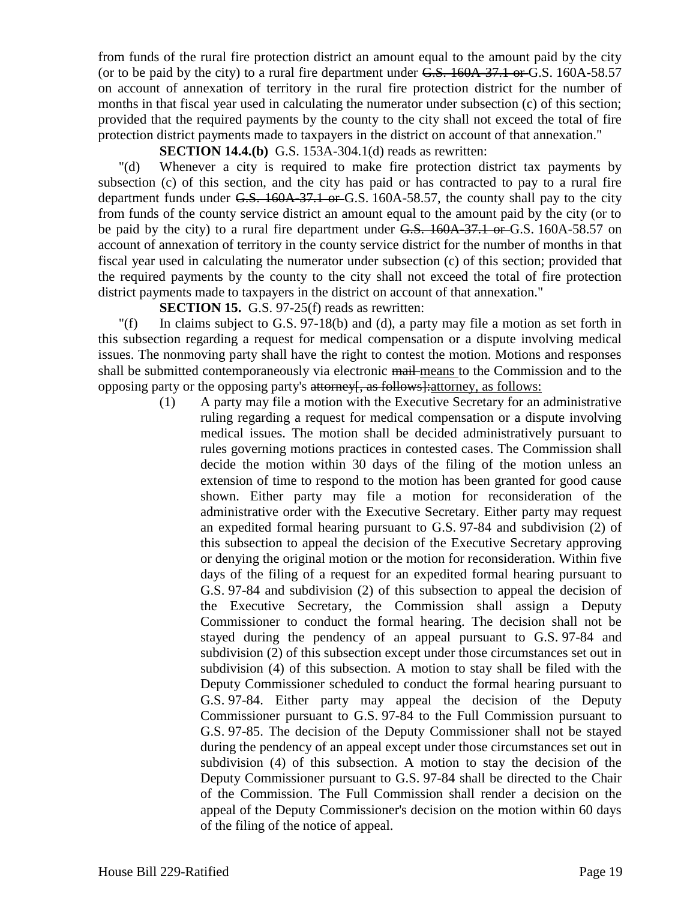from funds of the rural fire protection district an amount equal to the amount paid by the city (or to be paid by the city) to a rural fire department under G.S. 160A-37.1 or G.S. 160A-58.57 on account of annexation of territory in the rural fire protection district for the number of months in that fiscal year used in calculating the numerator under subsection (c) of this section; provided that the required payments by the county to the city shall not exceed the total of fire protection district payments made to taxpayers in the district on account of that annexation."

**SECTION 14.4.(b)** G.S. 153A-304.1(d) reads as rewritten:

"(d) Whenever a city is required to make fire protection district tax payments by subsection (c) of this section, and the city has paid or has contracted to pay to a rural fire department funds under  $G.S. 160A-37.1$  or  $G.S. 160A-58.57$ , the county shall pay to the city from funds of the county service district an amount equal to the amount paid by the city (or to be paid by the city) to a rural fire department under G.S. 160A-37.1 or G.S. 160A-58.57 on account of annexation of territory in the county service district for the number of months in that fiscal year used in calculating the numerator under subsection (c) of this section; provided that the required payments by the county to the city shall not exceed the total of fire protection district payments made to taxpayers in the district on account of that annexation."

**SECTION 15.** G.S. 97-25(f) reads as rewritten:

"(f) In claims subject to G.S. 97-18(b) and (d), a party may file a motion as set forth in this subsection regarding a request for medical compensation or a dispute involving medical issues. The nonmoving party shall have the right to contest the motion. Motions and responses shall be submitted contemporaneously via electronic mail means to the Commission and to the opposing party or the opposing party's attorney[, as follows]:attorney, as follows:

> (1) A party may file a motion with the Executive Secretary for an administrative ruling regarding a request for medical compensation or a dispute involving medical issues. The motion shall be decided administratively pursuant to rules governing motions practices in contested cases. The Commission shall decide the motion within 30 days of the filing of the motion unless an extension of time to respond to the motion has been granted for good cause shown. Either party may file a motion for reconsideration of the administrative order with the Executive Secretary. Either party may request an expedited formal hearing pursuant to G.S. 97-84 and subdivision (2) of this subsection to appeal the decision of the Executive Secretary approving or denying the original motion or the motion for reconsideration. Within five days of the filing of a request for an expedited formal hearing pursuant to G.S. 97-84 and subdivision (2) of this subsection to appeal the decision of the Executive Secretary, the Commission shall assign a Deputy Commissioner to conduct the formal hearing. The decision shall not be stayed during the pendency of an appeal pursuant to G.S. 97-84 and subdivision (2) of this subsection except under those circumstances set out in subdivision (4) of this subsection. A motion to stay shall be filed with the Deputy Commissioner scheduled to conduct the formal hearing pursuant to G.S. 97-84. Either party may appeal the decision of the Deputy Commissioner pursuant to G.S. 97-84 to the Full Commission pursuant to G.S. 97-85. The decision of the Deputy Commissioner shall not be stayed during the pendency of an appeal except under those circumstances set out in subdivision (4) of this subsection. A motion to stay the decision of the Deputy Commissioner pursuant to G.S. 97-84 shall be directed to the Chair of the Commission. The Full Commission shall render a decision on the appeal of the Deputy Commissioner's decision on the motion within 60 days of the filing of the notice of appeal.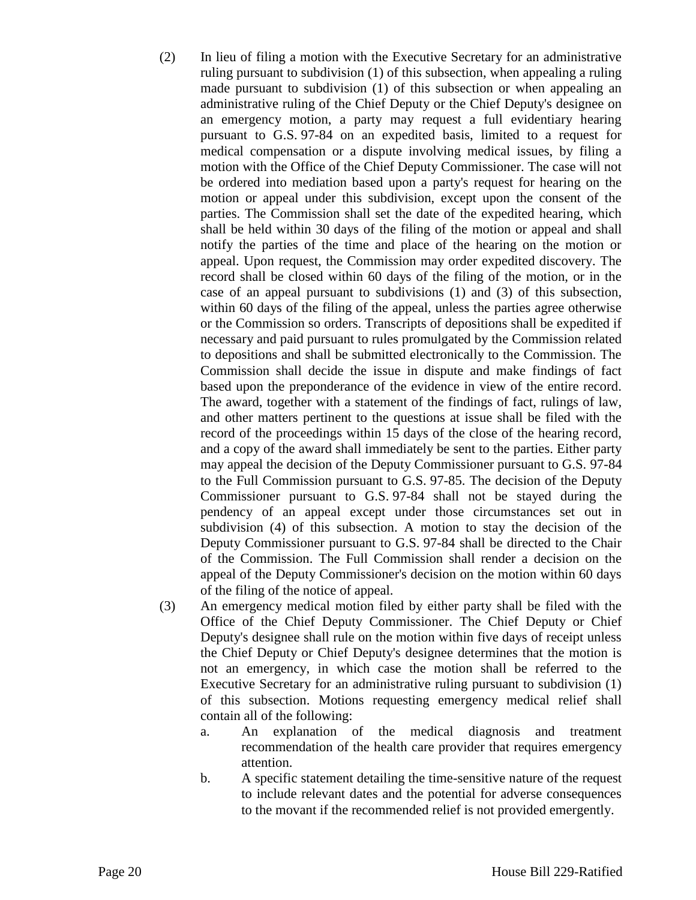- (2) In lieu of filing a motion with the Executive Secretary for an administrative ruling pursuant to subdivision (1) of this subsection, when appealing a ruling made pursuant to subdivision (1) of this subsection or when appealing an administrative ruling of the Chief Deputy or the Chief Deputy's designee on an emergency motion, a party may request a full evidentiary hearing pursuant to G.S. 97-84 on an expedited basis, limited to a request for medical compensation or a dispute involving medical issues, by filing a motion with the Office of the Chief Deputy Commissioner. The case will not be ordered into mediation based upon a party's request for hearing on the motion or appeal under this subdivision, except upon the consent of the parties. The Commission shall set the date of the expedited hearing, which shall be held within 30 days of the filing of the motion or appeal and shall notify the parties of the time and place of the hearing on the motion or appeal. Upon request, the Commission may order expedited discovery. The record shall be closed within 60 days of the filing of the motion, or in the case of an appeal pursuant to subdivisions (1) and (3) of this subsection, within 60 days of the filing of the appeal, unless the parties agree otherwise or the Commission so orders. Transcripts of depositions shall be expedited if necessary and paid pursuant to rules promulgated by the Commission related to depositions and shall be submitted electronically to the Commission. The Commission shall decide the issue in dispute and make findings of fact based upon the preponderance of the evidence in view of the entire record. The award, together with a statement of the findings of fact, rulings of law, and other matters pertinent to the questions at issue shall be filed with the record of the proceedings within 15 days of the close of the hearing record, and a copy of the award shall immediately be sent to the parties. Either party may appeal the decision of the Deputy Commissioner pursuant to G.S. 97-84 to the Full Commission pursuant to G.S. 97-85. The decision of the Deputy Commissioner pursuant to G.S. 97-84 shall not be stayed during the pendency of an appeal except under those circumstances set out in subdivision (4) of this subsection. A motion to stay the decision of the Deputy Commissioner pursuant to G.S. 97-84 shall be directed to the Chair of the Commission. The Full Commission shall render a decision on the appeal of the Deputy Commissioner's decision on the motion within 60 days of the filing of the notice of appeal.
- (3) An emergency medical motion filed by either party shall be filed with the Office of the Chief Deputy Commissioner. The Chief Deputy or Chief Deputy's designee shall rule on the motion within five days of receipt unless the Chief Deputy or Chief Deputy's designee determines that the motion is not an emergency, in which case the motion shall be referred to the Executive Secretary for an administrative ruling pursuant to subdivision (1) of this subsection. Motions requesting emergency medical relief shall contain all of the following:
	- a. An explanation of the medical diagnosis and treatment recommendation of the health care provider that requires emergency attention.
	- b. A specific statement detailing the time-sensitive nature of the request to include relevant dates and the potential for adverse consequences to the movant if the recommended relief is not provided emergently.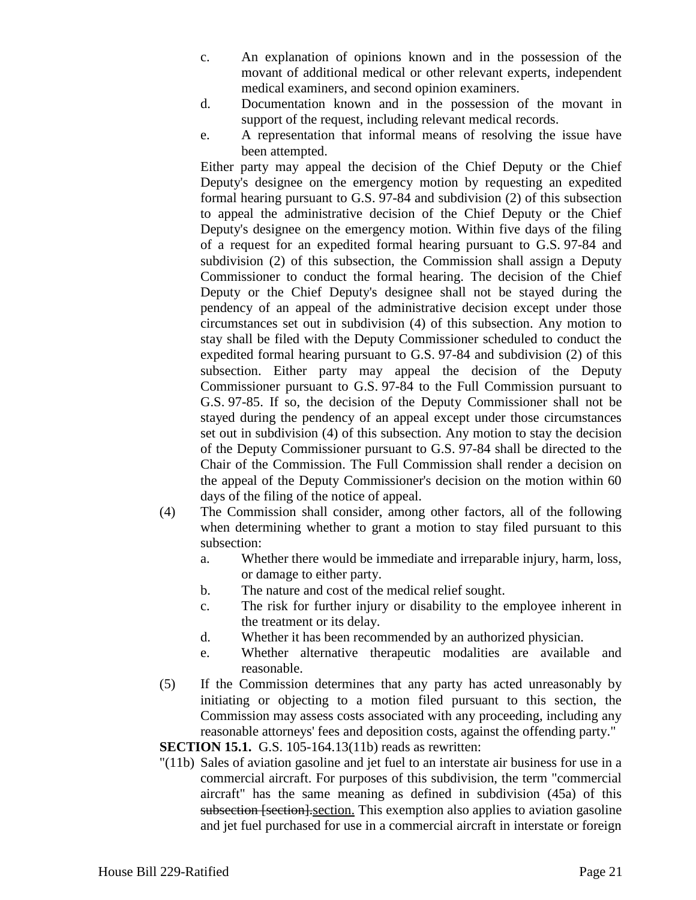- c. An explanation of opinions known and in the possession of the movant of additional medical or other relevant experts, independent medical examiners, and second opinion examiners.
- d. Documentation known and in the possession of the movant in support of the request, including relevant medical records.
- e. A representation that informal means of resolving the issue have been attempted.

Either party may appeal the decision of the Chief Deputy or the Chief Deputy's designee on the emergency motion by requesting an expedited formal hearing pursuant to G.S. 97-84 and subdivision (2) of this subsection to appeal the administrative decision of the Chief Deputy or the Chief Deputy's designee on the emergency motion. Within five days of the filing of a request for an expedited formal hearing pursuant to G.S. 97-84 and subdivision (2) of this subsection, the Commission shall assign a Deputy Commissioner to conduct the formal hearing. The decision of the Chief Deputy or the Chief Deputy's designee shall not be stayed during the pendency of an appeal of the administrative decision except under those circumstances set out in subdivision (4) of this subsection. Any motion to stay shall be filed with the Deputy Commissioner scheduled to conduct the expedited formal hearing pursuant to G.S. 97-84 and subdivision (2) of this subsection. Either party may appeal the decision of the Deputy Commissioner pursuant to G.S. 97-84 to the Full Commission pursuant to G.S. 97-85. If so, the decision of the Deputy Commissioner shall not be stayed during the pendency of an appeal except under those circumstances set out in subdivision (4) of this subsection. Any motion to stay the decision of the Deputy Commissioner pursuant to G.S. 97-84 shall be directed to the Chair of the Commission. The Full Commission shall render a decision on the appeal of the Deputy Commissioner's decision on the motion within 60 days of the filing of the notice of appeal.

- (4) The Commission shall consider, among other factors, all of the following when determining whether to grant a motion to stay filed pursuant to this subsection:
	- a. Whether there would be immediate and irreparable injury, harm, loss, or damage to either party.
	- b. The nature and cost of the medical relief sought.
	- c. The risk for further injury or disability to the employee inherent in the treatment or its delay.
	- d. Whether it has been recommended by an authorized physician.
	- e. Whether alternative therapeutic modalities are available and reasonable.
- (5) If the Commission determines that any party has acted unreasonably by initiating or objecting to a motion filed pursuant to this section, the Commission may assess costs associated with any proceeding, including any reasonable attorneys' fees and deposition costs, against the offending party."

**SECTION 15.1.** G.S. 105-164.13(11b) reads as rewritten:

"(11b) Sales of aviation gasoline and jet fuel to an interstate air business for use in a commercial aircraft. For purposes of this subdivision, the term "commercial aircraft" has the same meaning as defined in subdivision (45a) of this subsection [section]. section. This exemption also applies to aviation gasoline and jet fuel purchased for use in a commercial aircraft in interstate or foreign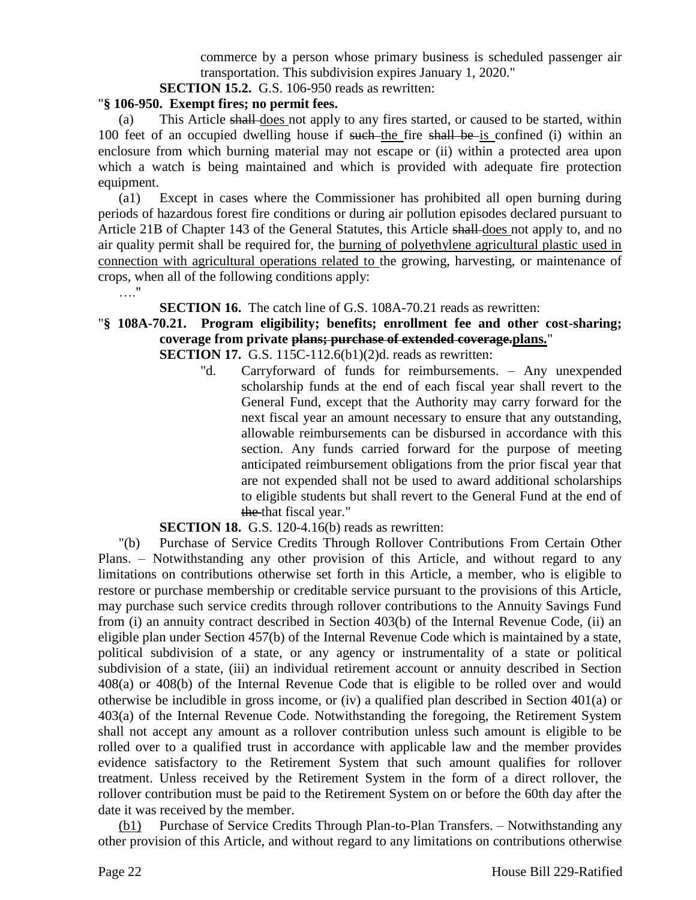commerce by a person whose primary business is scheduled passenger air transportation. This subdivision expires January 1, 2020."

**SECTION 15.2.** G.S. 106-950 reads as rewritten:

#### "**§ 106-950. Exempt fires; no permit fees.**

(a) This Article shall does not apply to any fires started, or caused to be started, within 100 feet of an occupied dwelling house if such the fire shall be is confined (i) within an enclosure from which burning material may not escape or (ii) within a protected area upon which a watch is being maintained and which is provided with adequate fire protection equipment.

(a1) Except in cases where the Commissioner has prohibited all open burning during periods of hazardous forest fire conditions or during air pollution episodes declared pursuant to Article 21B of Chapter 143 of the General Statutes, this Article shall does not apply to, and no air quality permit shall be required for, the burning of polyethylene agricultural plastic used in connection with agricultural operations related to the growing, harvesting, or maintenance of crops, when all of the following conditions apply:

**SECTION 16.** The catch line of G.S. 108A-70.21 reads as rewritten:

# "**§ 108A-70.21. Program eligibility; benefits; enrollment fee and other cost-sharing; coverage from private plans; purchase of extended coverage.plans.**"

**SECTION 17.** G.S. 115C-112.6(b1)(2)d. reads as rewritten:

"d. Carryforward of funds for reimbursements. – Any unexpended scholarship funds at the end of each fiscal year shall revert to the General Fund, except that the Authority may carry forward for the next fiscal year an amount necessary to ensure that any outstanding, allowable reimbursements can be disbursed in accordance with this section. Any funds carried forward for the purpose of meeting anticipated reimbursement obligations from the prior fiscal year that are not expended shall not be used to award additional scholarships to eligible students but shall revert to the General Fund at the end of the that fiscal year."

**SECTION 18.** G.S. 120-4.16(b) reads as rewritten:

"(b) Purchase of Service Credits Through Rollover Contributions From Certain Other Plans. – Notwithstanding any other provision of this Article, and without regard to any limitations on contributions otherwise set forth in this Article, a member, who is eligible to restore or purchase membership or creditable service pursuant to the provisions of this Article, may purchase such service credits through rollover contributions to the Annuity Savings Fund from (i) an annuity contract described in Section 403(b) of the Internal Revenue Code, (ii) an eligible plan under Section 457(b) of the Internal Revenue Code which is maintained by a state, political subdivision of a state, or any agency or instrumentality of a state or political subdivision of a state, (iii) an individual retirement account or annuity described in Section 408(a) or 408(b) of the Internal Revenue Code that is eligible to be rolled over and would otherwise be includible in gross income, or (iv) a qualified plan described in Section 401(a) or 403(a) of the Internal Revenue Code. Notwithstanding the foregoing, the Retirement System shall not accept any amount as a rollover contribution unless such amount is eligible to be rolled over to a qualified trust in accordance with applicable law and the member provides evidence satisfactory to the Retirement System that such amount qualifies for rollover treatment. Unless received by the Retirement System in the form of a direct rollover, the rollover contribution must be paid to the Retirement System on or before the 60th day after the date it was received by the member.

(b1) Purchase of Service Credits Through Plan-to-Plan Transfers. – Notwithstanding any other provision of this Article, and without regard to any limitations on contributions otherwise

…."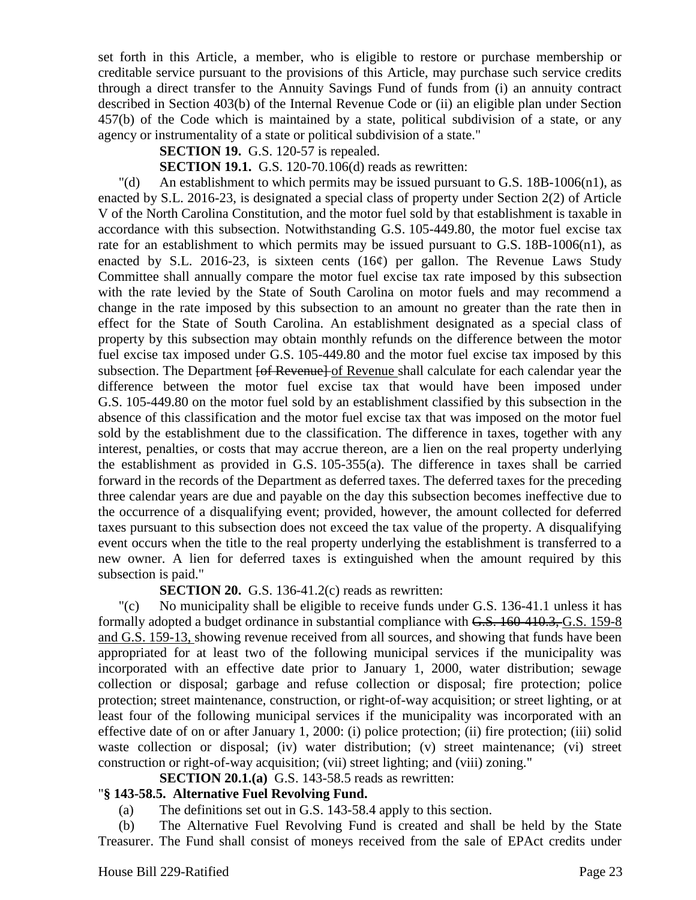set forth in this Article, a member, who is eligible to restore or purchase membership or creditable service pursuant to the provisions of this Article, may purchase such service credits through a direct transfer to the Annuity Savings Fund of funds from (i) an annuity contract described in Section 403(b) of the Internal Revenue Code or (ii) an eligible plan under Section 457(b) of the Code which is maintained by a state, political subdivision of a state, or any agency or instrumentality of a state or political subdivision of a state."

**SECTION 19.** G.S. 120-57 is repealed.

### **SECTION 19.1.** G.S. 120-70.106(d) reads as rewritten:

"(d) An establishment to which permits may be issued pursuant to G.S. 18B-1006(n1), as enacted by S.L. 2016-23, is designated a special class of property under Section 2(2) of Article V of the North Carolina Constitution, and the motor fuel sold by that establishment is taxable in accordance with this subsection. Notwithstanding G.S. 105-449.80, the motor fuel excise tax rate for an establishment to which permits may be issued pursuant to G.S. 18B-1006(n1), as enacted by S.L. 2016-23, is sixteen cents  $(16¢)$  per gallon. The Revenue Laws Study Committee shall annually compare the motor fuel excise tax rate imposed by this subsection with the rate levied by the State of South Carolina on motor fuels and may recommend a change in the rate imposed by this subsection to an amount no greater than the rate then in effect for the State of South Carolina. An establishment designated as a special class of property by this subsection may obtain monthly refunds on the difference between the motor fuel excise tax imposed under G.S. 105-449.80 and the motor fuel excise tax imposed by this subsection. The Department <del>[of Revenue]</del> of Revenue shall calculate for each calendar year the difference between the motor fuel excise tax that would have been imposed under G.S. 105-449.80 on the motor fuel sold by an establishment classified by this subsection in the absence of this classification and the motor fuel excise tax that was imposed on the motor fuel sold by the establishment due to the classification. The difference in taxes, together with any interest, penalties, or costs that may accrue thereon, are a lien on the real property underlying the establishment as provided in G.S. 105-355(a). The difference in taxes shall be carried forward in the records of the Department as deferred taxes. The deferred taxes for the preceding three calendar years are due and payable on the day this subsection becomes ineffective due to the occurrence of a disqualifying event; provided, however, the amount collected for deferred taxes pursuant to this subsection does not exceed the tax value of the property. A disqualifying event occurs when the title to the real property underlying the establishment is transferred to a new owner. A lien for deferred taxes is extinguished when the amount required by this subsection is paid."

**SECTION 20.** G.S. 136-41.2(c) reads as rewritten:

"(c) No municipality shall be eligible to receive funds under G.S. 136-41.1 unless it has formally adopted a budget ordinance in substantial compliance with G.S. 160-410.3, G.S. 159-8 and G.S. 159-13, showing revenue received from all sources, and showing that funds have been appropriated for at least two of the following municipal services if the municipality was incorporated with an effective date prior to January 1, 2000, water distribution; sewage collection or disposal; garbage and refuse collection or disposal; fire protection; police protection; street maintenance, construction, or right-of-way acquisition; or street lighting, or at least four of the following municipal services if the municipality was incorporated with an effective date of on or after January 1, 2000: (i) police protection; (ii) fire protection; (iii) solid waste collection or disposal; (iv) water distribution; (v) street maintenance; (vi) street construction or right-of-way acquisition; (vii) street lighting; and (viii) zoning."

# **SECTION 20.1.(a)** G.S. 143-58.5 reads as rewritten:

# "**§ 143-58.5. Alternative Fuel Revolving Fund.**

(a) The definitions set out in G.S. 143-58.4 apply to this section.

(b) The Alternative Fuel Revolving Fund is created and shall be held by the State Treasurer. The Fund shall consist of moneys received from the sale of EPAct credits under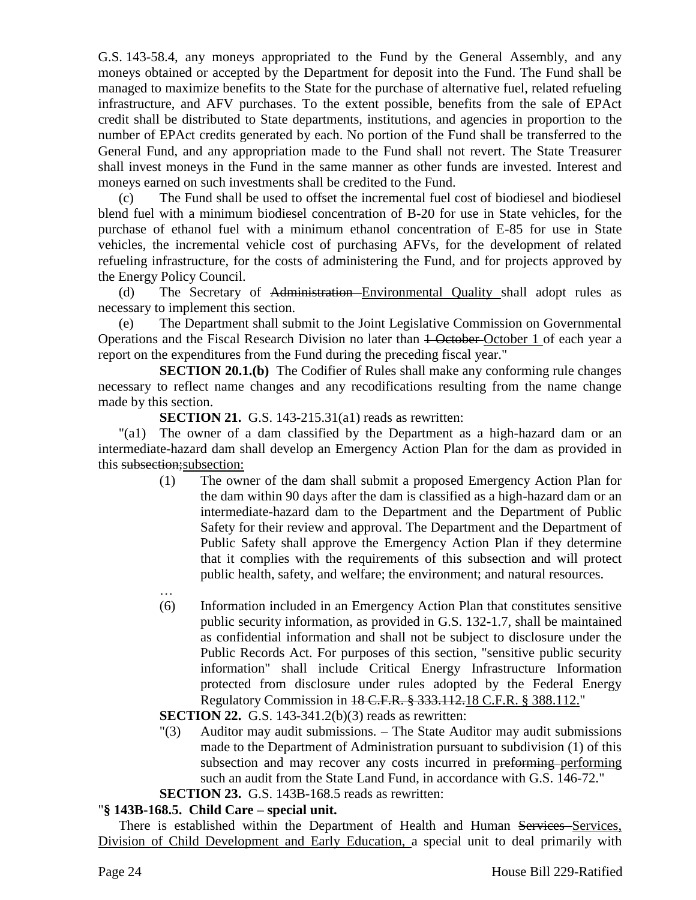G.S. 143-58.4, any moneys appropriated to the Fund by the General Assembly, and any moneys obtained or accepted by the Department for deposit into the Fund. The Fund shall be managed to maximize benefits to the State for the purchase of alternative fuel, related refueling infrastructure, and AFV purchases. To the extent possible, benefits from the sale of EPAct credit shall be distributed to State departments, institutions, and agencies in proportion to the number of EPAct credits generated by each. No portion of the Fund shall be transferred to the General Fund, and any appropriation made to the Fund shall not revert. The State Treasurer shall invest moneys in the Fund in the same manner as other funds are invested. Interest and moneys earned on such investments shall be credited to the Fund.

(c) The Fund shall be used to offset the incremental fuel cost of biodiesel and biodiesel blend fuel with a minimum biodiesel concentration of B-20 for use in State vehicles, for the purchase of ethanol fuel with a minimum ethanol concentration of E-85 for use in State vehicles, the incremental vehicle cost of purchasing AFVs, for the development of related refueling infrastructure, for the costs of administering the Fund, and for projects approved by the Energy Policy Council.

(d) The Secretary of Administration Environmental Quality shall adopt rules as necessary to implement this section.

(e) The Department shall submit to the Joint Legislative Commission on Governmental Operations and the Fiscal Research Division no later than 1 October October 1 of each year a report on the expenditures from the Fund during the preceding fiscal year."

**SECTION 20.1.(b)** The Codifier of Rules shall make any conforming rule changes necessary to reflect name changes and any recodifications resulting from the name change made by this section.

**SECTION 21.** G.S. 143-215.31(a1) reads as rewritten:

"(a1) The owner of a dam classified by the Department as a high-hazard dam or an intermediate-hazard dam shall develop an Emergency Action Plan for the dam as provided in this subsection; subsection:

- (1) The owner of the dam shall submit a proposed Emergency Action Plan for the dam within 90 days after the dam is classified as a high-hazard dam or an intermediate-hazard dam to the Department and the Department of Public Safety for their review and approval. The Department and the Department of Public Safety shall approve the Emergency Action Plan if they determine that it complies with the requirements of this subsection and will protect public health, safety, and welfare; the environment; and natural resources.
- … (6) Information included in an Emergency Action Plan that constitutes sensitive public security information, as provided in G.S. 132-1.7, shall be maintained as confidential information and shall not be subject to disclosure under the Public Records Act. For purposes of this section, "sensitive public security information" shall include Critical Energy Infrastructure Information protected from disclosure under rules adopted by the Federal Energy Regulatory Commission in 18 C.F.R. § 333.112.18 C.F.R. § 388.112."

**SECTION 22.** G.S. 143-341.2(b)(3) reads as rewritten:

"(3) Auditor may audit submissions. – The State Auditor may audit submissions made to the Department of Administration pursuant to subdivision (1) of this subsection and may recover any costs incurred in preforming performing such an audit from the State Land Fund, in accordance with G.S. 146-72."

**SECTION 23.** G.S. 143B-168.5 reads as rewritten:

# "**§ 143B-168.5. Child Care – special unit.**

There is established within the Department of Health and Human Services-Services, Division of Child Development and Early Education, a special unit to deal primarily with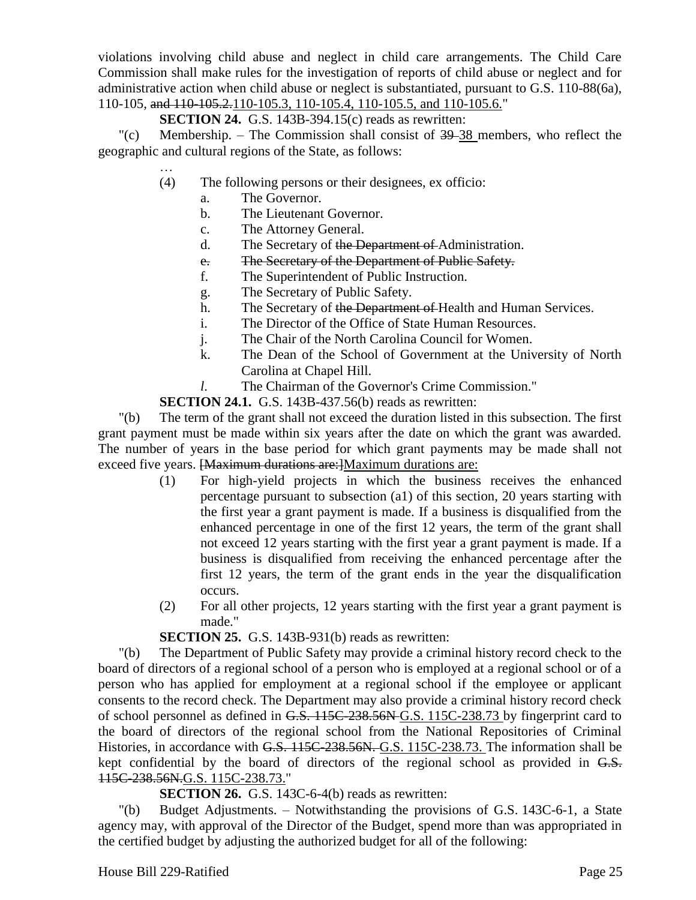violations involving child abuse and neglect in child care arrangements. The Child Care Commission shall make rules for the investigation of reports of child abuse or neglect and for administrative action when child abuse or neglect is substantiated, pursuant to G.S. 110-88(6a), 110-105, and 110-105.2.110-105.3, 110-105.4, 110-105.5, and 110-105.6."

# **SECTION 24.** G.S. 143B-394.15(c) reads as rewritten:

"(c) Membership. – The Commission shall consist of  $39-38$  members, who reflect the geographic and cultural regions of the State, as follows:

- … (4) The following persons or their designees, ex officio:
	- a. The Governor.
	- b. The Lieutenant Governor.
	- c. The Attorney General.
	- d. The Secretary of the Department of Administration.
	- e. The Secretary of the Department of Public Safety.
	- f. The Superintendent of Public Instruction.
	- g. The Secretary of Public Safety.
	- h. The Secretary of the Department of Health and Human Services.
	- i. The Director of the Office of State Human Resources.
	- j. The Chair of the North Carolina Council for Women.
	- k. The Dean of the School of Government at the University of North Carolina at Chapel Hill.
	- *l*. The Chairman of the Governor's Crime Commission."

**SECTION 24.1.** G.S. 143B-437.56(b) reads as rewritten:

"(b) The term of the grant shall not exceed the duration listed in this subsection. The first grant payment must be made within six years after the date on which the grant was awarded. The number of years in the base period for which grant payments may be made shall not exceed five years. [Maximum durations are:]Maximum durations are:

- (1) For high-yield projects in which the business receives the enhanced percentage pursuant to subsection (a1) of this section, 20 years starting with the first year a grant payment is made. If a business is disqualified from the enhanced percentage in one of the first 12 years, the term of the grant shall not exceed 12 years starting with the first year a grant payment is made. If a business is disqualified from receiving the enhanced percentage after the first 12 years, the term of the grant ends in the year the disqualification occurs.
- (2) For all other projects, 12 years starting with the first year a grant payment is made."

**SECTION 25.** G.S. 143B-931(b) reads as rewritten:

"(b) The Department of Public Safety may provide a criminal history record check to the board of directors of a regional school of a person who is employed at a regional school or of a person who has applied for employment at a regional school if the employee or applicant consents to the record check. The Department may also provide a criminal history record check of school personnel as defined in G.S. 115C-238.56N G.S. 115C-238.73 by fingerprint card to the board of directors of the regional school from the National Repositories of Criminal Histories, in accordance with G.S. 115C-238.56N. G.S. 115C-238.73. The information shall be kept confidential by the board of directors of the regional school as provided in G.S. 115C-238.56N.G.S. 115C-238.73."

**SECTION 26.** G.S. 143C-6-4(b) reads as rewritten:

"(b) Budget Adjustments. – Notwithstanding the provisions of G.S. 143C-6-1, a State agency may, with approval of the Director of the Budget, spend more than was appropriated in the certified budget by adjusting the authorized budget for all of the following: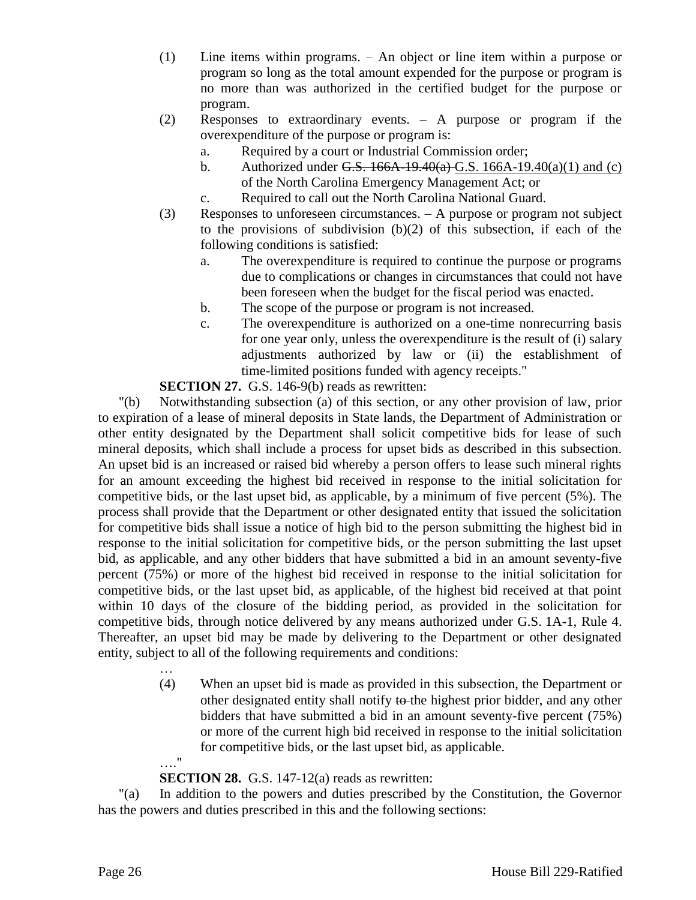- (1) Line items within programs. An object or line item within a purpose or program so long as the total amount expended for the purpose or program is no more than was authorized in the certified budget for the purpose or program.
- (2) Responses to extraordinary events. A purpose or program if the overexpenditure of the purpose or program is:
	- a. Required by a court or Industrial Commission order;
	- b. Authorized under G.S.  $166A-19.40(a)$  G.S.  $166A-19.40(a)(1)$  and (c) of the North Carolina Emergency Management Act; or
	- c. Required to call out the North Carolina National Guard.
- (3) Responses to unforeseen circumstances. A purpose or program not subject to the provisions of subdivision (b)(2) of this subsection, if each of the following conditions is satisfied:
	- a. The overexpenditure is required to continue the purpose or programs due to complications or changes in circumstances that could not have been foreseen when the budget for the fiscal period was enacted.
	- b. The scope of the purpose or program is not increased.
	- c. The overexpenditure is authorized on a one-time nonrecurring basis for one year only, unless the overexpenditure is the result of (i) salary adjustments authorized by law or (ii) the establishment of time-limited positions funded with agency receipts."

**SECTION 27.** G.S. 146-9(b) reads as rewritten:

"(b) Notwithstanding subsection (a) of this section, or any other provision of law, prior to expiration of a lease of mineral deposits in State lands, the Department of Administration or other entity designated by the Department shall solicit competitive bids for lease of such mineral deposits, which shall include a process for upset bids as described in this subsection. An upset bid is an increased or raised bid whereby a person offers to lease such mineral rights for an amount exceeding the highest bid received in response to the initial solicitation for competitive bids, or the last upset bid, as applicable, by a minimum of five percent (5%). The process shall provide that the Department or other designated entity that issued the solicitation for competitive bids shall issue a notice of high bid to the person submitting the highest bid in response to the initial solicitation for competitive bids, or the person submitting the last upset bid, as applicable, and any other bidders that have submitted a bid in an amount seventy-five percent (75%) or more of the highest bid received in response to the initial solicitation for competitive bids, or the last upset bid, as applicable, of the highest bid received at that point within 10 days of the closure of the bidding period, as provided in the solicitation for competitive bids, through notice delivered by any means authorized under G.S. 1A-1, Rule 4. Thereafter, an upset bid may be made by delivering to the Department or other designated entity, subject to all of the following requirements and conditions:

> … (4) When an upset bid is made as provided in this subsection, the Department or other designated entity shall notify to the highest prior bidder, and any other bidders that have submitted a bid in an amount seventy-five percent (75%) or more of the current high bid received in response to the initial solicitation for competitive bids, or the last upset bid, as applicable. …."

**SECTION 28.** G.S. 147-12(a) reads as rewritten:

"(a) In addition to the powers and duties prescribed by the Constitution, the Governor has the powers and duties prescribed in this and the following sections: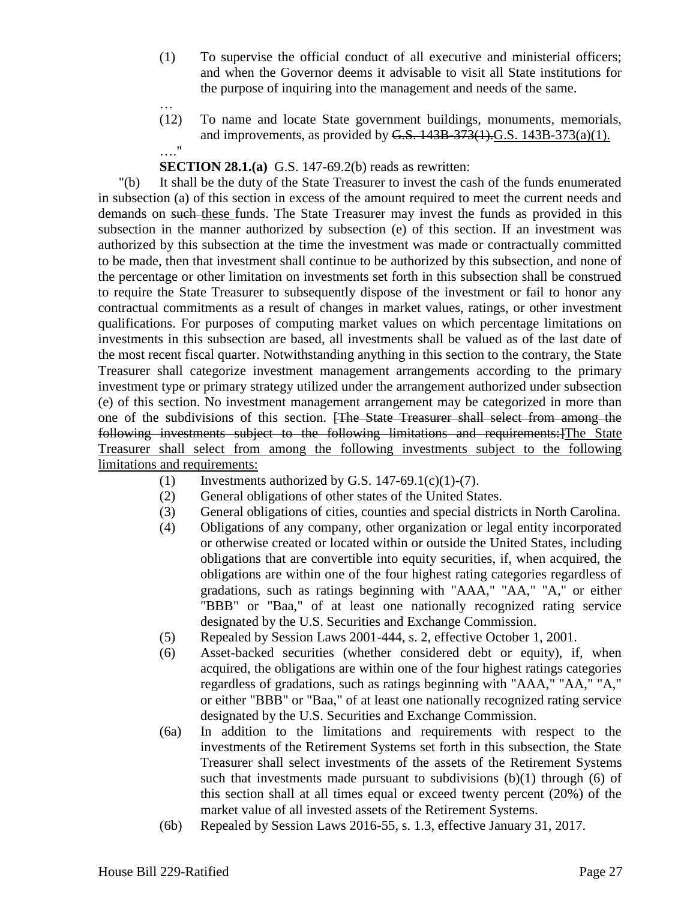- (1) To supervise the official conduct of all executive and ministerial officers; and when the Governor deems it advisable to visit all State institutions for the purpose of inquiring into the management and needs of the same.
- (12) To name and locate State government buildings, monuments, memorials, and improvements, as provided by  $G.S. 143B-373(1)G.S. 143B-373(a)(1)$ . …."

# **SECTION 28.1.(a)** G.S. 147-69.2(b) reads as rewritten:

"(b) It shall be the duty of the State Treasurer to invest the cash of the funds enumerated in subsection (a) of this section in excess of the amount required to meet the current needs and demands on such these funds. The State Treasurer may invest the funds as provided in this subsection in the manner authorized by subsection (e) of this section. If an investment was authorized by this subsection at the time the investment was made or contractually committed to be made, then that investment shall continue to be authorized by this subsection, and none of the percentage or other limitation on investments set forth in this subsection shall be construed to require the State Treasurer to subsequently dispose of the investment or fail to honor any contractual commitments as a result of changes in market values, ratings, or other investment qualifications. For purposes of computing market values on which percentage limitations on investments in this subsection are based, all investments shall be valued as of the last date of the most recent fiscal quarter. Notwithstanding anything in this section to the contrary, the State Treasurer shall categorize investment management arrangements according to the primary investment type or primary strategy utilized under the arrangement authorized under subsection (e) of this section. No investment management arrangement may be categorized in more than one of the subdivisions of this section. [The State Treasurer shall select from among the following investments subject to the following limitations and requirements:]The State Treasurer shall select from among the following investments subject to the following limitations and requirements:

- (1) Investments authorized by G.S. 147-69.1(c)(1)-(7).
- (2) General obligations of other states of the United States.
- (3) General obligations of cities, counties and special districts in North Carolina.
- (4) Obligations of any company, other organization or legal entity incorporated or otherwise created or located within or outside the United States, including obligations that are convertible into equity securities, if, when acquired, the obligations are within one of the four highest rating categories regardless of gradations, such as ratings beginning with "AAA," "AA," "A," or either "BBB" or "Baa," of at least one nationally recognized rating service designated by the U.S. Securities and Exchange Commission.
- (5) Repealed by Session Laws 2001-444, s. 2, effective October 1, 2001.
- (6) Asset-backed securities (whether considered debt or equity), if, when acquired, the obligations are within one of the four highest ratings categories regardless of gradations, such as ratings beginning with "AAA," "AA," "A," or either "BBB" or "Baa," of at least one nationally recognized rating service designated by the U.S. Securities and Exchange Commission.
- (6a) In addition to the limitations and requirements with respect to the investments of the Retirement Systems set forth in this subsection, the State Treasurer shall select investments of the assets of the Retirement Systems such that investments made pursuant to subdivisions  $(b)(1)$  through  $(6)$  of this section shall at all times equal or exceed twenty percent (20%) of the market value of all invested assets of the Retirement Systems.
- (6b) Repealed by Session Laws 2016-55, s. 1.3, effective January 31, 2017.

…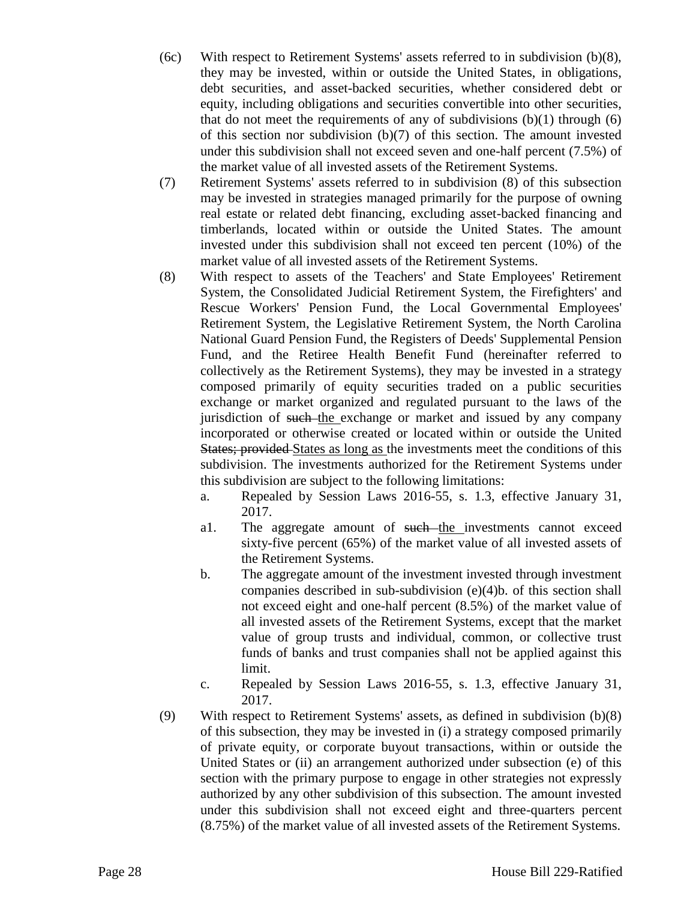- (6c) With respect to Retirement Systems' assets referred to in subdivision (b)(8), they may be invested, within or outside the United States, in obligations, debt securities, and asset-backed securities, whether considered debt or equity, including obligations and securities convertible into other securities, that do not meet the requirements of any of subdivisions  $(b)(1)$  through  $(6)$ of this section nor subdivision (b)(7) of this section. The amount invested under this subdivision shall not exceed seven and one-half percent (7.5%) of the market value of all invested assets of the Retirement Systems.
- (7) Retirement Systems' assets referred to in subdivision (8) of this subsection may be invested in strategies managed primarily for the purpose of owning real estate or related debt financing, excluding asset-backed financing and timberlands, located within or outside the United States. The amount invested under this subdivision shall not exceed ten percent (10%) of the market value of all invested assets of the Retirement Systems.
- (8) With respect to assets of the Teachers' and State Employees' Retirement System, the Consolidated Judicial Retirement System, the Firefighters' and Rescue Workers' Pension Fund, the Local Governmental Employees' Retirement System, the Legislative Retirement System, the North Carolina National Guard Pension Fund, the Registers of Deeds' Supplemental Pension Fund, and the Retiree Health Benefit Fund (hereinafter referred to collectively as the Retirement Systems), they may be invested in a strategy composed primarily of equity securities traded on a public securities exchange or market organized and regulated pursuant to the laws of the jurisdiction of such the exchange or market and issued by any company incorporated or otherwise created or located within or outside the United States; provided States as long as the investments meet the conditions of this subdivision. The investments authorized for the Retirement Systems under this subdivision are subject to the following limitations:
	- a. Repealed by Session Laws 2016-55, s. 1.3, effective January 31, 2017.
	- a1. The aggregate amount of such the investments cannot exceed sixty-five percent (65%) of the market value of all invested assets of the Retirement Systems.
	- b. The aggregate amount of the investment invested through investment companies described in sub-subdivision (e)(4)b. of this section shall not exceed eight and one-half percent (8.5%) of the market value of all invested assets of the Retirement Systems, except that the market value of group trusts and individual, common, or collective trust funds of banks and trust companies shall not be applied against this limit.
	- c. Repealed by Session Laws 2016-55, s. 1.3, effective January 31, 2017.
- (9) With respect to Retirement Systems' assets, as defined in subdivision (b)(8) of this subsection, they may be invested in (i) a strategy composed primarily of private equity, or corporate buyout transactions, within or outside the United States or (ii) an arrangement authorized under subsection (e) of this section with the primary purpose to engage in other strategies not expressly authorized by any other subdivision of this subsection. The amount invested under this subdivision shall not exceed eight and three-quarters percent (8.75%) of the market value of all invested assets of the Retirement Systems.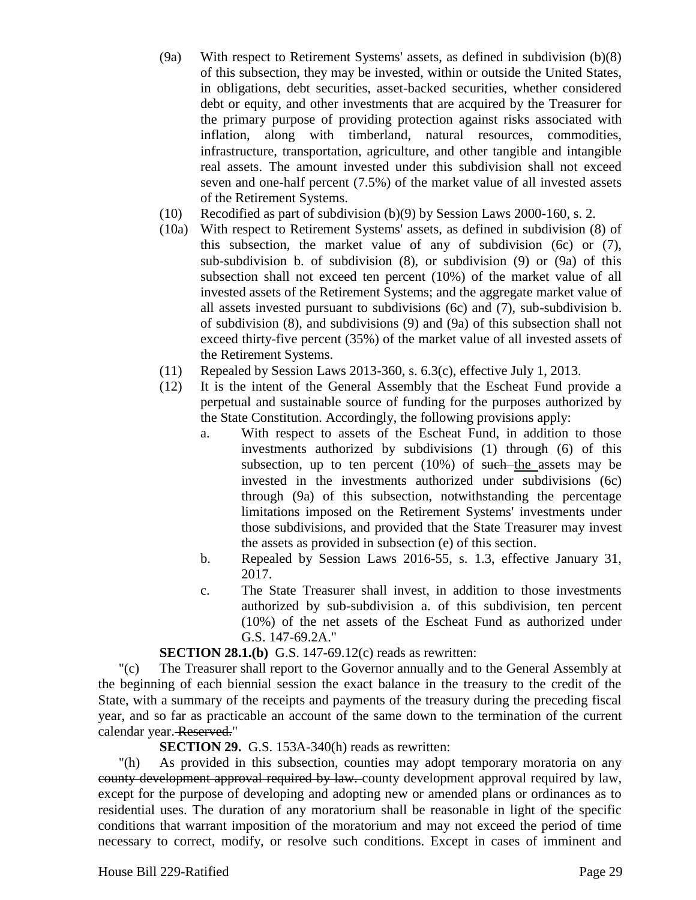- (9a) With respect to Retirement Systems' assets, as defined in subdivision (b)(8) of this subsection, they may be invested, within or outside the United States, in obligations, debt securities, asset-backed securities, whether considered debt or equity, and other investments that are acquired by the Treasurer for the primary purpose of providing protection against risks associated with inflation, along with timberland, natural resources, commodities, infrastructure, transportation, agriculture, and other tangible and intangible real assets. The amount invested under this subdivision shall not exceed seven and one-half percent (7.5%) of the market value of all invested assets of the Retirement Systems.
- (10) Recodified as part of subdivision (b)(9) by Session Laws 2000-160, s. 2.
- (10a) With respect to Retirement Systems' assets, as defined in subdivision (8) of this subsection, the market value of any of subdivision (6c) or (7), sub-subdivision b. of subdivision (8), or subdivision (9) or (9a) of this subsection shall not exceed ten percent (10%) of the market value of all invested assets of the Retirement Systems; and the aggregate market value of all assets invested pursuant to subdivisions (6c) and (7), sub-subdivision b. of subdivision (8), and subdivisions (9) and (9a) of this subsection shall not exceed thirty-five percent (35%) of the market value of all invested assets of the Retirement Systems.
- (11) Repealed by Session Laws 2013-360, s. 6.3(c), effective July 1, 2013.
- (12) It is the intent of the General Assembly that the Escheat Fund provide a perpetual and sustainable source of funding for the purposes authorized by the State Constitution. Accordingly, the following provisions apply:
	- a. With respect to assets of the Escheat Fund, in addition to those investments authorized by subdivisions (1) through (6) of this subsection, up to ten percent  $(10%)$  of such the assets may be invested in the investments authorized under subdivisions (6c) through (9a) of this subsection, notwithstanding the percentage limitations imposed on the Retirement Systems' investments under those subdivisions, and provided that the State Treasurer may invest the assets as provided in subsection (e) of this section.
	- b. Repealed by Session Laws 2016-55, s. 1.3, effective January 31, 2017.
	- c. The State Treasurer shall invest, in addition to those investments authorized by sub-subdivision a. of this subdivision, ten percent (10%) of the net assets of the Escheat Fund as authorized under G.S. 147-69.2A."

#### **SECTION 28.1.(b)** G.S. 147-69.12(c) reads as rewritten:

"(c) The Treasurer shall report to the Governor annually and to the General Assembly at the beginning of each biennial session the exact balance in the treasury to the credit of the State, with a summary of the receipts and payments of the treasury during the preceding fiscal year, and so far as practicable an account of the same down to the termination of the current calendar year. Reserved."

**SECTION 29.** G.S. 153A-340(h) reads as rewritten:

"(h) As provided in this subsection, counties may adopt temporary moratoria on any county development approval required by law. county development approval required by law, except for the purpose of developing and adopting new or amended plans or ordinances as to residential uses. The duration of any moratorium shall be reasonable in light of the specific conditions that warrant imposition of the moratorium and may not exceed the period of time necessary to correct, modify, or resolve such conditions. Except in cases of imminent and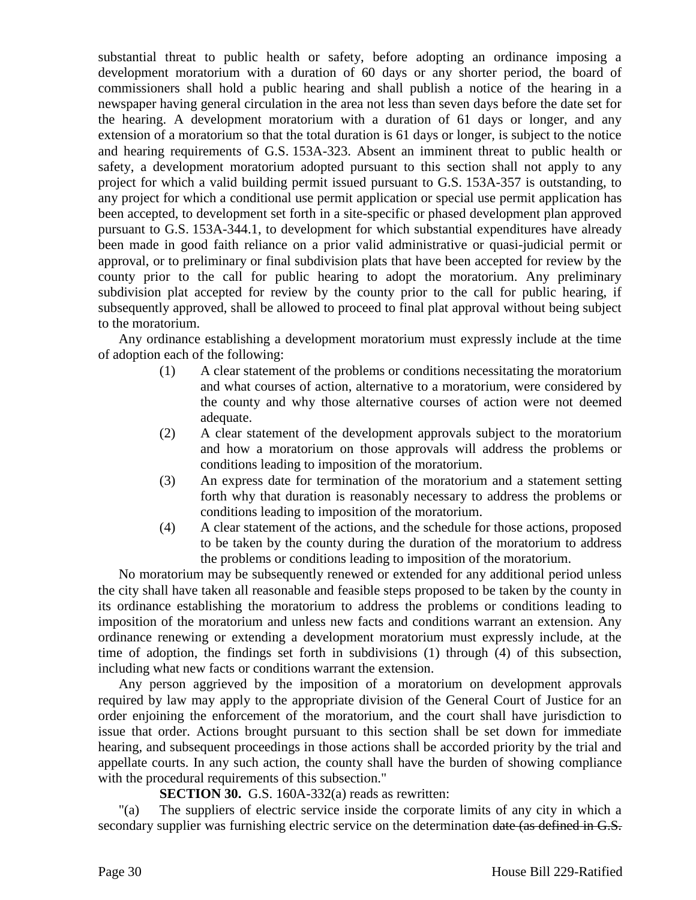substantial threat to public health or safety, before adopting an ordinance imposing a development moratorium with a duration of 60 days or any shorter period, the board of commissioners shall hold a public hearing and shall publish a notice of the hearing in a newspaper having general circulation in the area not less than seven days before the date set for the hearing. A development moratorium with a duration of 61 days or longer, and any extension of a moratorium so that the total duration is 61 days or longer, is subject to the notice and hearing requirements of G.S. 153A-323. Absent an imminent threat to public health or safety, a development moratorium adopted pursuant to this section shall not apply to any project for which a valid building permit issued pursuant to G.S. 153A-357 is outstanding, to any project for which a conditional use permit application or special use permit application has been accepted, to development set forth in a site-specific or phased development plan approved pursuant to G.S. 153A-344.1, to development for which substantial expenditures have already been made in good faith reliance on a prior valid administrative or quasi-judicial permit or approval, or to preliminary or final subdivision plats that have been accepted for review by the county prior to the call for public hearing to adopt the moratorium. Any preliminary subdivision plat accepted for review by the county prior to the call for public hearing, if subsequently approved, shall be allowed to proceed to final plat approval without being subject to the moratorium.

Any ordinance establishing a development moratorium must expressly include at the time of adoption each of the following:

- (1) A clear statement of the problems or conditions necessitating the moratorium and what courses of action, alternative to a moratorium, were considered by the county and why those alternative courses of action were not deemed adequate.
- (2) A clear statement of the development approvals subject to the moratorium and how a moratorium on those approvals will address the problems or conditions leading to imposition of the moratorium.
- (3) An express date for termination of the moratorium and a statement setting forth why that duration is reasonably necessary to address the problems or conditions leading to imposition of the moratorium.
- (4) A clear statement of the actions, and the schedule for those actions, proposed to be taken by the county during the duration of the moratorium to address the problems or conditions leading to imposition of the moratorium.

No moratorium may be subsequently renewed or extended for any additional period unless the city shall have taken all reasonable and feasible steps proposed to be taken by the county in its ordinance establishing the moratorium to address the problems or conditions leading to imposition of the moratorium and unless new facts and conditions warrant an extension. Any ordinance renewing or extending a development moratorium must expressly include, at the time of adoption, the findings set forth in subdivisions (1) through (4) of this subsection, including what new facts or conditions warrant the extension.

Any person aggrieved by the imposition of a moratorium on development approvals required by law may apply to the appropriate division of the General Court of Justice for an order enjoining the enforcement of the moratorium, and the court shall have jurisdiction to issue that order. Actions brought pursuant to this section shall be set down for immediate hearing, and subsequent proceedings in those actions shall be accorded priority by the trial and appellate courts. In any such action, the county shall have the burden of showing compliance with the procedural requirements of this subsection."

#### **SECTION 30.** G.S. 160A-332(a) reads as rewritten:

"(a) The suppliers of electric service inside the corporate limits of any city in which a secondary supplier was furnishing electric service on the determination date (as defined in G.S.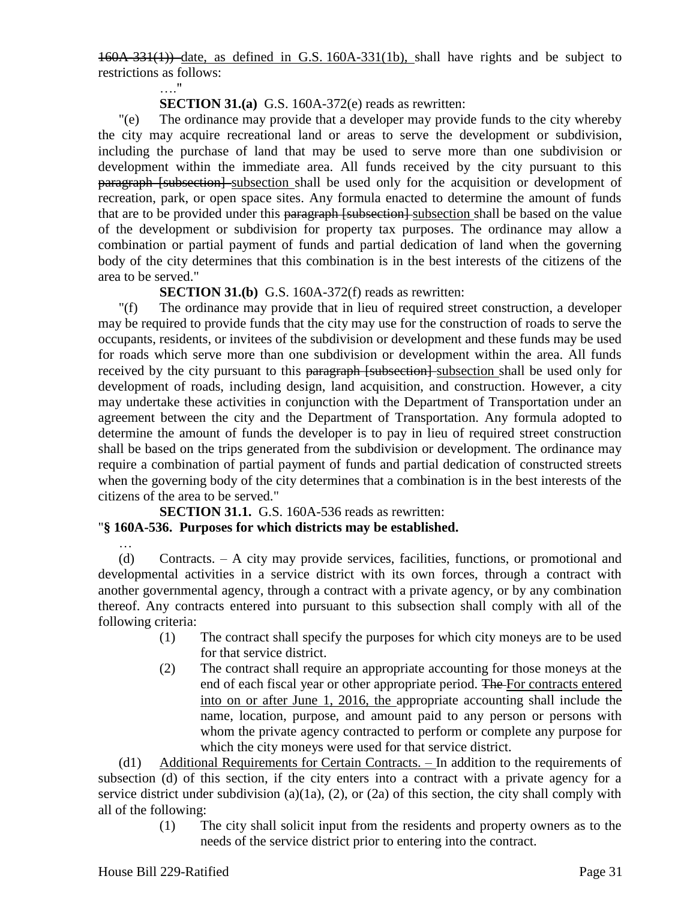160A-331(1)) date, as defined in G.S. 160A-331(1b), shall have rights and be subject to restrictions as follows:

# **SECTION 31.(a)** G.S. 160A-372(e) reads as rewritten:

"(e) The ordinance may provide that a developer may provide funds to the city whereby the city may acquire recreational land or areas to serve the development or subdivision, including the purchase of land that may be used to serve more than one subdivision or development within the immediate area. All funds received by the city pursuant to this paragraph [subsection] subsection shall be used only for the acquisition or development of recreation, park, or open space sites. Any formula enacted to determine the amount of funds that are to be provided under this paragraph [subsection] subsection shall be based on the value of the development or subdivision for property tax purposes. The ordinance may allow a combination or partial payment of funds and partial dedication of land when the governing body of the city determines that this combination is in the best interests of the citizens of the area to be served."

**SECTION 31.(b)** G.S. 160A-372(f) reads as rewritten:

"(f) The ordinance may provide that in lieu of required street construction, a developer may be required to provide funds that the city may use for the construction of roads to serve the occupants, residents, or invitees of the subdivision or development and these funds may be used for roads which serve more than one subdivision or development within the area. All funds received by the city pursuant to this paragraph [subsection] subsection shall be used only for development of roads, including design, land acquisition, and construction. However, a city may undertake these activities in conjunction with the Department of Transportation under an agreement between the city and the Department of Transportation. Any formula adopted to determine the amount of funds the developer is to pay in lieu of required street construction shall be based on the trips generated from the subdivision or development. The ordinance may require a combination of partial payment of funds and partial dedication of constructed streets when the governing body of the city determines that a combination is in the best interests of the citizens of the area to be served."

**SECTION 31.1.** G.S. 160A-536 reads as rewritten:

#### "**§ 160A-536. Purposes for which districts may be established.**

…."

(d) Contracts. – A city may provide services, facilities, functions, or promotional and developmental activities in a service district with its own forces, through a contract with another governmental agency, through a contract with a private agency, or by any combination thereof. Any contracts entered into pursuant to this subsection shall comply with all of the following criteria:

- (1) The contract shall specify the purposes for which city moneys are to be used for that service district.
- (2) The contract shall require an appropriate accounting for those moneys at the end of each fiscal year or other appropriate period. The For contracts entered into on or after June 1, 2016, the appropriate accounting shall include the name, location, purpose, and amount paid to any person or persons with whom the private agency contracted to perform or complete any purpose for which the city moneys were used for that service district.

(d1) Additional Requirements for Certain Contracts. - In addition to the requirements of subsection (d) of this section, if the city enters into a contract with a private agency for a service district under subdivision (a)(1a), (2), or (2a) of this section, the city shall comply with all of the following:

(1) The city shall solicit input from the residents and property owners as to the needs of the service district prior to entering into the contract.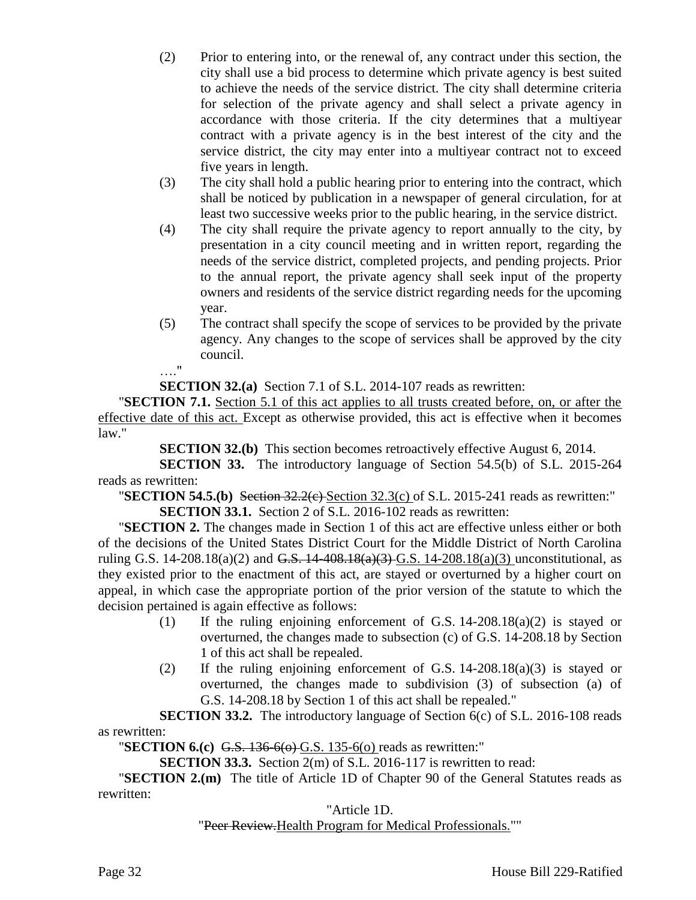- (2) Prior to entering into, or the renewal of, any contract under this section, the city shall use a bid process to determine which private agency is best suited to achieve the needs of the service district. The city shall determine criteria for selection of the private agency and shall select a private agency in accordance with those criteria. If the city determines that a multiyear contract with a private agency is in the best interest of the city and the service district, the city may enter into a multiyear contract not to exceed five years in length.
- (3) The city shall hold a public hearing prior to entering into the contract, which shall be noticed by publication in a newspaper of general circulation, for at least two successive weeks prior to the public hearing, in the service district.
- (4) The city shall require the private agency to report annually to the city, by presentation in a city council meeting and in written report, regarding the needs of the service district, completed projects, and pending projects. Prior to the annual report, the private agency shall seek input of the property owners and residents of the service district regarding needs for the upcoming year.
- (5) The contract shall specify the scope of services to be provided by the private agency. Any changes to the scope of services shall be approved by the city council. …."

**SECTION 32.(a)** Section 7.1 of S.L. 2014-107 reads as rewritten:

"**SECTION 7.1.** Section 5.1 of this act applies to all trusts created before, on, or after the effective date of this act. Except as otherwise provided, this act is effective when it becomes law."

**SECTION 32.(b)** This section becomes retroactively effective August 6, 2014.

**SECTION 33.** The introductory language of Section 54.5(b) of S.L. 2015-264 reads as rewritten:

"**SECTION 54.5.(b)** Section 32.2(c) Section 32.3(c) of S.L. 2015-241 reads as rewritten:" **SECTION 33.1.** Section 2 of S.L. 2016-102 reads as rewritten:

"**SECTION 2.** The changes made in Section 1 of this act are effective unless either or both of the decisions of the United States District Court for the Middle District of North Carolina ruling G.S.  $14-208.18(a)(2)$  and <del>G.S.  $14-408.18(a)(3)$ </del> G.S.  $14-208.18(a)(3)$  unconstitutional, as they existed prior to the enactment of this act, are stayed or overturned by a higher court on appeal, in which case the appropriate portion of the prior version of the statute to which the decision pertained is again effective as follows:

- (1) If the ruling enjoining enforcement of G.S. 14-208.18(a)(2) is stayed or overturned, the changes made to subsection (c) of G.S. 14-208.18 by Section 1 of this act shall be repealed.
- (2) If the ruling enjoining enforcement of G.S. 14-208.18(a)(3) is stayed or overturned, the changes made to subdivision (3) of subsection (a) of G.S. 14-208.18 by Section 1 of this act shall be repealed."

**SECTION 33.2.** The introductory language of Section 6(c) of S.L. 2016-108 reads as rewritten:

"**SECTION 6.(c)** G.S. 136-6(o) G.S. 135-6(o) reads as rewritten:"

**SECTION 33.3.** Section 2(m) of S.L. 2016-117 is rewritten to read:

"**SECTION 2.(m)** The title of Article 1D of Chapter 90 of the General Statutes reads as rewritten:

"Article 1D.

"Peer Review. Health Program for Medical Professionals.""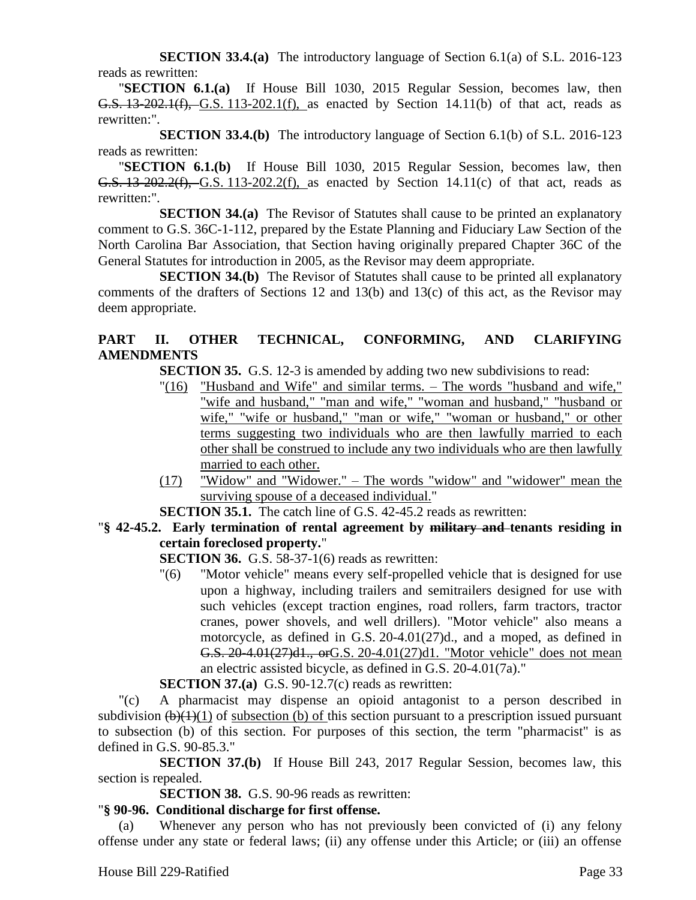**SECTION 33.4.(a)** The introductory language of Section 6.1(a) of S.L. 2016-123 reads as rewritten:

"**SECTION 6.1.(a)** If House Bill 1030, 2015 Regular Session, becomes law, then G.S. 13-202.1(f), G.S. 113-202.1(f), as enacted by Section 14.11(b) of that act, reads as rewritten:".

**SECTION 33.4.(b)** The introductory language of Section 6.1(b) of S.L. 2016-123 reads as rewritten:

"**SECTION 6.1.(b)** If House Bill 1030, 2015 Regular Session, becomes law, then G.S. 13-202.2(f), G.S. 113-202.2(f), as enacted by Section 14.11(c) of that act, reads as rewritten:".

**SECTION 34.(a)** The Revisor of Statutes shall cause to be printed an explanatory comment to G.S. 36C-1-112, prepared by the Estate Planning and Fiduciary Law Section of the North Carolina Bar Association, that Section having originally prepared Chapter 36C of the General Statutes for introduction in 2005, as the Revisor may deem appropriate.

**SECTION 34.(b)** The Revisor of Statutes shall cause to be printed all explanatory comments of the drafters of Sections 12 and 13(b) and 13(c) of this act, as the Revisor may deem appropriate.

# **PART II. OTHER TECHNICAL, CONFORMING, AND CLARIFYING AMENDMENTS**

**SECTION 35.** G.S. 12-3 is amended by adding two new subdivisions to read:

- "(16) "Husband and Wife" and similar terms. The words "husband and wife," "wife and husband," "man and wife," "woman and husband," "husband or wife," "wife or husband," "man or wife," "woman or husband," or other terms suggesting two individuals who are then lawfully married to each other shall be construed to include any two individuals who are then lawfully married to each other.
- (17) "Widow" and "Widower." The words "widow" and "widower" mean the surviving spouse of a deceased individual."

**SECTION 35.1.** The catch line of G.S. 42-45.2 reads as rewritten:

"**§ 42-45.2. Early termination of rental agreement by military and tenants residing in certain foreclosed property.**"

- **SECTION 36.** G.S. 58-37-1(6) reads as rewritten:
- "(6) "Motor vehicle" means every self-propelled vehicle that is designed for use upon a highway, including trailers and semitrailers designed for use with such vehicles (except traction engines, road rollers, farm tractors, tractor cranes, power shovels, and well drillers). "Motor vehicle" also means a motorcycle, as defined in G.S. 20-4.01(27)d., and a moped, as defined in G.S. 20-4.01(27)d1., orG.S. 20-4.01(27)d1. "Motor vehicle" does not mean an electric assisted bicycle, as defined in G.S. 20-4.01(7a)."

**SECTION 37.(a)** G.S. 90-12.7(c) reads as rewritten:

"(c) A pharmacist may dispense an opioid antagonist to a person described in subdivision  $(b)(1)(1)$  of subsection (b) of this section pursuant to a prescription issued pursuant to subsection (b) of this section. For purposes of this section, the term "pharmacist" is as defined in G.S. 90-85.3."

**SECTION 37.(b)** If House Bill 243, 2017 Regular Session, becomes law, this section is repealed.

**SECTION 38.** G.S. 90-96 reads as rewritten:

# "**§ 90-96. Conditional discharge for first offense.**

(a) Whenever any person who has not previously been convicted of (i) any felony offense under any state or federal laws; (ii) any offense under this Article; or (iii) an offense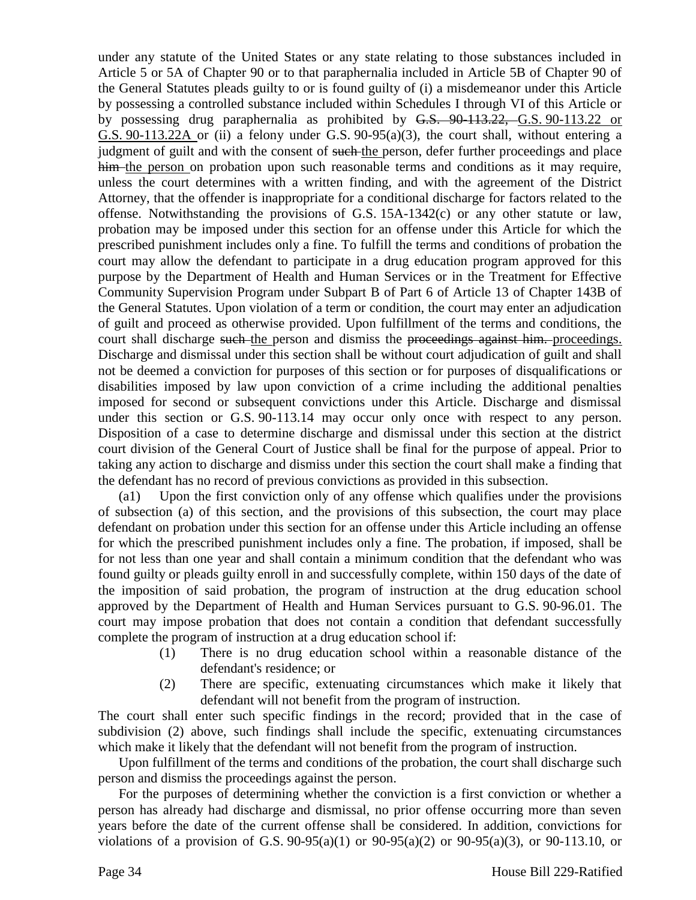under any statute of the United States or any state relating to those substances included in Article 5 or 5A of Chapter 90 or to that paraphernalia included in Article 5B of Chapter 90 of the General Statutes pleads guilty to or is found guilty of (i) a misdemeanor under this Article by possessing a controlled substance included within Schedules I through VI of this Article or by possessing drug paraphernalia as prohibited by G.S. 90-113.22, G.S. 90-113.22 or G.S. 90-113.22A or (ii) a felony under G.S. 90-95(a)(3), the court shall, without entering a judgment of guilt and with the consent of such the person, defer further proceedings and place him the person on probation upon such reasonable terms and conditions as it may require, unless the court determines with a written finding, and with the agreement of the District Attorney, that the offender is inappropriate for a conditional discharge for factors related to the offense. Notwithstanding the provisions of G.S. 15A-1342(c) or any other statute or law, probation may be imposed under this section for an offense under this Article for which the prescribed punishment includes only a fine. To fulfill the terms and conditions of probation the court may allow the defendant to participate in a drug education program approved for this purpose by the Department of Health and Human Services or in the Treatment for Effective Community Supervision Program under Subpart B of Part 6 of Article 13 of Chapter 143B of the General Statutes. Upon violation of a term or condition, the court may enter an adjudication of guilt and proceed as otherwise provided. Upon fulfillment of the terms and conditions, the court shall discharge such the person and dismiss the proceedings against him. proceedings. Discharge and dismissal under this section shall be without court adjudication of guilt and shall not be deemed a conviction for purposes of this section or for purposes of disqualifications or disabilities imposed by law upon conviction of a crime including the additional penalties imposed for second or subsequent convictions under this Article. Discharge and dismissal under this section or G.S. 90-113.14 may occur only once with respect to any person. Disposition of a case to determine discharge and dismissal under this section at the district court division of the General Court of Justice shall be final for the purpose of appeal. Prior to taking any action to discharge and dismiss under this section the court shall make a finding that the defendant has no record of previous convictions as provided in this subsection.

(a1) Upon the first conviction only of any offense which qualifies under the provisions of subsection (a) of this section, and the provisions of this subsection, the court may place defendant on probation under this section for an offense under this Article including an offense for which the prescribed punishment includes only a fine. The probation, if imposed, shall be for not less than one year and shall contain a minimum condition that the defendant who was found guilty or pleads guilty enroll in and successfully complete, within 150 days of the date of the imposition of said probation, the program of instruction at the drug education school approved by the Department of Health and Human Services pursuant to G.S. 90-96.01. The court may impose probation that does not contain a condition that defendant successfully complete the program of instruction at a drug education school if:

- (1) There is no drug education school within a reasonable distance of the defendant's residence; or
- (2) There are specific, extenuating circumstances which make it likely that defendant will not benefit from the program of instruction.

The court shall enter such specific findings in the record; provided that in the case of subdivision (2) above, such findings shall include the specific, extenuating circumstances which make it likely that the defendant will not benefit from the program of instruction.

Upon fulfillment of the terms and conditions of the probation, the court shall discharge such person and dismiss the proceedings against the person.

For the purposes of determining whether the conviction is a first conviction or whether a person has already had discharge and dismissal, no prior offense occurring more than seven years before the date of the current offense shall be considered. In addition, convictions for violations of a provision of G.S. 90-95(a)(1) or 90-95(a)(2) or 90-95(a)(3), or 90-113.10, or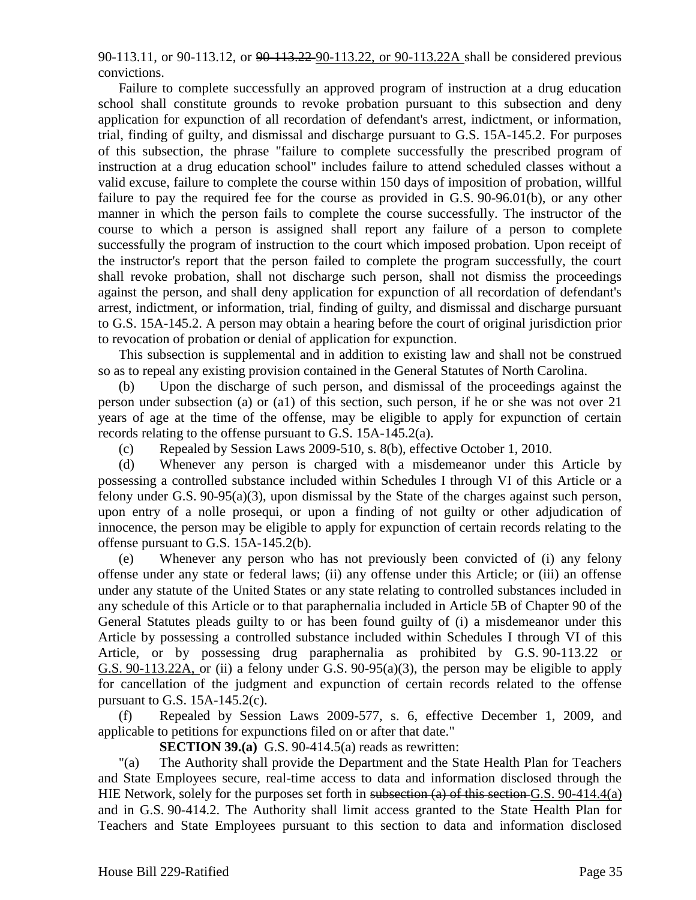90-113.11, or 90-113.12, or 90-113.22 90-113.22, or 90-113.22A shall be considered previous convictions.

Failure to complete successfully an approved program of instruction at a drug education school shall constitute grounds to revoke probation pursuant to this subsection and deny application for expunction of all recordation of defendant's arrest, indictment, or information, trial, finding of guilty, and dismissal and discharge pursuant to G.S. 15A-145.2. For purposes of this subsection, the phrase "failure to complete successfully the prescribed program of instruction at a drug education school" includes failure to attend scheduled classes without a valid excuse, failure to complete the course within 150 days of imposition of probation, willful failure to pay the required fee for the course as provided in G.S. 90-96.01(b), or any other manner in which the person fails to complete the course successfully. The instructor of the course to which a person is assigned shall report any failure of a person to complete successfully the program of instruction to the court which imposed probation. Upon receipt of the instructor's report that the person failed to complete the program successfully, the court shall revoke probation, shall not discharge such person, shall not dismiss the proceedings against the person, and shall deny application for expunction of all recordation of defendant's arrest, indictment, or information, trial, finding of guilty, and dismissal and discharge pursuant to G.S. 15A-145.2. A person may obtain a hearing before the court of original jurisdiction prior to revocation of probation or denial of application for expunction.

This subsection is supplemental and in addition to existing law and shall not be construed so as to repeal any existing provision contained in the General Statutes of North Carolina.

(b) Upon the discharge of such person, and dismissal of the proceedings against the person under subsection (a) or (a1) of this section, such person, if he or she was not over 21 years of age at the time of the offense, may be eligible to apply for expunction of certain records relating to the offense pursuant to G.S. 15A-145.2(a).

(c) Repealed by Session Laws 2009-510, s. 8(b), effective October 1, 2010.

(d) Whenever any person is charged with a misdemeanor under this Article by possessing a controlled substance included within Schedules I through VI of this Article or a felony under G.S. 90-95(a)(3), upon dismissal by the State of the charges against such person, upon entry of a nolle prosequi, or upon a finding of not guilty or other adjudication of innocence, the person may be eligible to apply for expunction of certain records relating to the offense pursuant to G.S. 15A-145.2(b).

(e) Whenever any person who has not previously been convicted of (i) any felony offense under any state or federal laws; (ii) any offense under this Article; or (iii) an offense under any statute of the United States or any state relating to controlled substances included in any schedule of this Article or to that paraphernalia included in Article 5B of Chapter 90 of the General Statutes pleads guilty to or has been found guilty of (i) a misdemeanor under this Article by possessing a controlled substance included within Schedules I through VI of this Article, or by possessing drug paraphernalia as prohibited by G.S. 90-113.22 or G.S. 90-113.22A, or (ii) a felony under G.S. 90-95(a)(3), the person may be eligible to apply for cancellation of the judgment and expunction of certain records related to the offense pursuant to G.S.  $15A-145.2(c)$ .

(f) Repealed by Session Laws 2009-577, s. 6, effective December 1, 2009, and applicable to petitions for expunctions filed on or after that date."

**SECTION 39.(a)** G.S. 90-414.5(a) reads as rewritten:

"(a) The Authority shall provide the Department and the State Health Plan for Teachers and State Employees secure, real-time access to data and information disclosed through the HIE Network, solely for the purposes set forth in subsection (a) of this section G.S. 90-414.4(a) and in G.S. 90-414.2. The Authority shall limit access granted to the State Health Plan for Teachers and State Employees pursuant to this section to data and information disclosed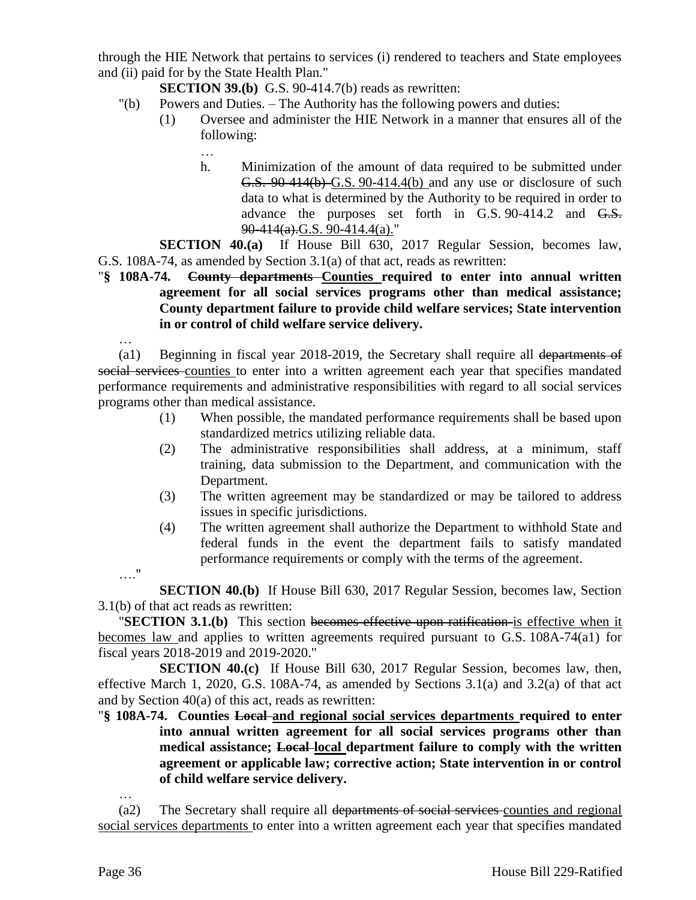through the HIE Network that pertains to services (i) rendered to teachers and State employees and (ii) paid for by the State Health Plan."

**SECTION 39.(b)** G.S. 90-414.7(b) reads as rewritten:

- "(b) Powers and Duties. The Authority has the following powers and duties:
	- (1) Oversee and administer the HIE Network in a manner that ensures all of the following:
		- …
		- h. Minimization of the amount of data required to be submitted under G.S. 90-414(b) G.S. 90-414.4(b) and any use or disclosure of such data to what is determined by the Authority to be required in order to advance the purposes set forth in G.S. 90-414.2 and G.S.  $90-414(a)$ .G.S. 90-414.4(a)."

**SECTION 40.(a)** If House Bill 630, 2017 Regular Session, becomes law, G.S. 108A-74, as amended by Section 3.1(a) of that act, reads as rewritten:

- "**§ 108A-74. County departments Counties required to enter into annual written agreement for all social services programs other than medical assistance; County department failure to provide child welfare services; State intervention in or control of child welfare service delivery.**
	- …

…."

(a1) Beginning in fiscal year 2018-2019, the Secretary shall require all departments of social services counties to enter into a written agreement each year that specifies mandated performance requirements and administrative responsibilities with regard to all social services programs other than medical assistance.

- (1) When possible, the mandated performance requirements shall be based upon standardized metrics utilizing reliable data.
- (2) The administrative responsibilities shall address, at a minimum, staff training, data submission to the Department, and communication with the Department.
- (3) The written agreement may be standardized or may be tailored to address issues in specific jurisdictions.
- (4) The written agreement shall authorize the Department to withhold State and federal funds in the event the department fails to satisfy mandated performance requirements or comply with the terms of the agreement.

**SECTION 40.(b)** If House Bill 630, 2017 Regular Session, becomes law, Section 3.1(b) of that act reads as rewritten:

"**SECTION 3.1.(b)** This section becomes effective upon ratification is effective when it becomes law and applies to written agreements required pursuant to G.S. 108A-74(a1) for fiscal years 2018-2019 and 2019-2020."

**SECTION 40.(c)** If House Bill 630, 2017 Regular Session, becomes law, then, effective March 1, 2020, G.S. 108A-74, as amended by Sections 3.1(a) and 3.2(a) of that act and by Section 40(a) of this act, reads as rewritten:

"**§ 108A-74. Counties Local and regional social services departments required to enter into annual written agreement for all social services programs other than medical assistance; Local local department failure to comply with the written agreement or applicable law; corrective action; State intervention in or control of child welfare service delivery.**

(a2) The Secretary shall require all departments of social services counties and regional social services departments to enter into a written agreement each year that specifies mandated

…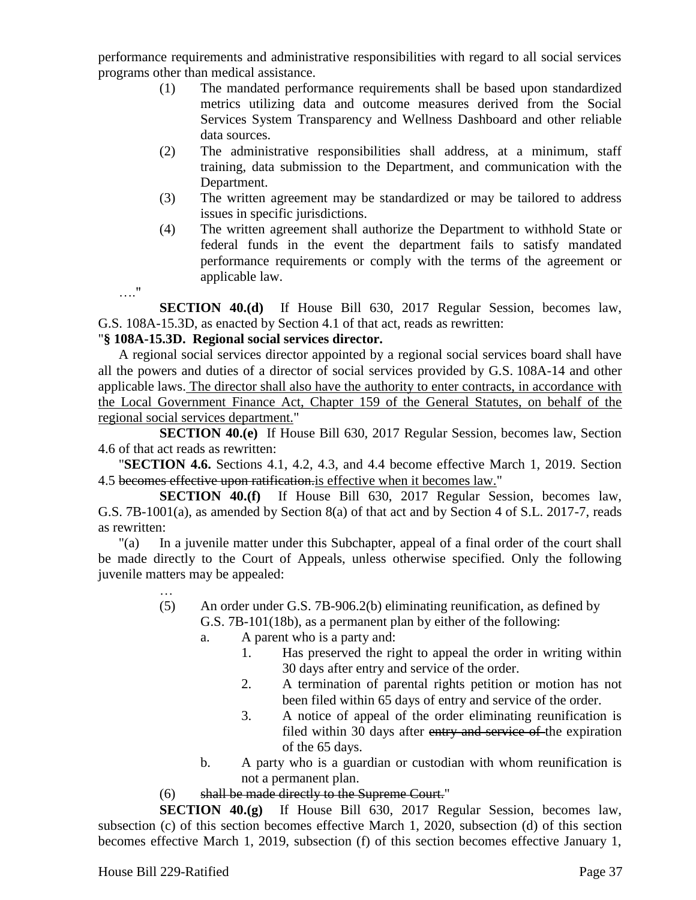performance requirements and administrative responsibilities with regard to all social services programs other than medical assistance.

- (1) The mandated performance requirements shall be based upon standardized metrics utilizing data and outcome measures derived from the Social Services System Transparency and Wellness Dashboard and other reliable data sources.
- (2) The administrative responsibilities shall address, at a minimum, staff training, data submission to the Department, and communication with the Department.
- (3) The written agreement may be standardized or may be tailored to address issues in specific jurisdictions.
- (4) The written agreement shall authorize the Department to withhold State or federal funds in the event the department fails to satisfy mandated performance requirements or comply with the terms of the agreement or applicable law.

…." **SECTION 40.(d)** If House Bill 630, 2017 Regular Session, becomes law, G.S. 108A-15.3D, as enacted by Section 4.1 of that act, reads as rewritten:

# "**§ 108A-15.3D. Regional social services director.**

A regional social services director appointed by a regional social services board shall have all the powers and duties of a director of social services provided by G.S. 108A-14 and other applicable laws. The director shall also have the authority to enter contracts, in accordance with the Local Government Finance Act, Chapter 159 of the General Statutes, on behalf of the regional social services department."

**SECTION 40.(e)** If House Bill 630, 2017 Regular Session, becomes law, Section 4.6 of that act reads as rewritten:

"**SECTION 4.6.** Sections 4.1, 4.2, 4.3, and 4.4 become effective March 1, 2019. Section 4.5 becomes effective upon ratification.is effective when it becomes law."

**SECTION 40.(f)** If House Bill 630, 2017 Regular Session, becomes law, G.S. 7B-1001(a), as amended by Section 8(a) of that act and by Section 4 of S.L. 2017-7, reads as rewritten:

"(a) In a juvenile matter under this Subchapter, appeal of a final order of the court shall be made directly to the Court of Appeals, unless otherwise specified. Only the following juvenile matters may be appealed:

- … (5) An order under G.S. 7B-906.2(b) eliminating reunification, as defined by G.S. 7B-101(18b), as a permanent plan by either of the following:
	- a. A parent who is a party and:
		- 1. Has preserved the right to appeal the order in writing within 30 days after entry and service of the order.
		- 2. A termination of parental rights petition or motion has not been filed within 65 days of entry and service of the order.
		- 3. A notice of appeal of the order eliminating reunification is filed within 30 days after entry and service of the expiration of the 65 days.
	- b. A party who is a guardian or custodian with whom reunification is not a permanent plan.
- (6) shall be made directly to the Supreme Court."

**SECTION 40.(g)** If House Bill 630, 2017 Regular Session, becomes law, subsection (c) of this section becomes effective March 1, 2020, subsection (d) of this section becomes effective March 1, 2019, subsection (f) of this section becomes effective January 1,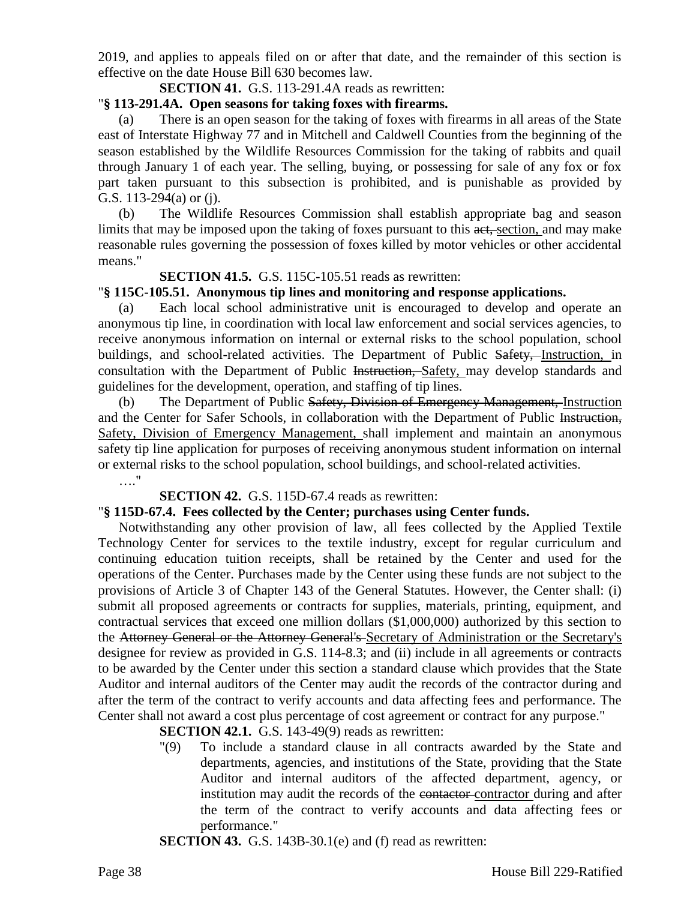2019, and applies to appeals filed on or after that date, and the remainder of this section is effective on the date House Bill 630 becomes law.

**SECTION 41.** G.S. 113-291.4A reads as rewritten:

# "**§ 113-291.4A. Open seasons for taking foxes with firearms.**

(a) There is an open season for the taking of foxes with firearms in all areas of the State east of Interstate Highway 77 and in Mitchell and Caldwell Counties from the beginning of the season established by the Wildlife Resources Commission for the taking of rabbits and quail through January 1 of each year. The selling, buying, or possessing for sale of any fox or fox part taken pursuant to this subsection is prohibited, and is punishable as provided by G.S. 113-294(a) or (j).

(b) The Wildlife Resources Commission shall establish appropriate bag and season limits that may be imposed upon the taking of foxes pursuant to this act, section, and may make reasonable rules governing the possession of foxes killed by motor vehicles or other accidental means."

#### **SECTION 41.5.** G.S. 115C-105.51 reads as rewritten:

#### "**§ 115C-105.51. Anonymous tip lines and monitoring and response applications.**

(a) Each local school administrative unit is encouraged to develop and operate an anonymous tip line, in coordination with local law enforcement and social services agencies, to receive anonymous information on internal or external risks to the school population, school buildings, and school-related activities. The Department of Public Safety, Instruction, in consultation with the Department of Public Instruction, Safety, may develop standards and guidelines for the development, operation, and staffing of tip lines.

(b) The Department of Public Safety, Division of Emergency Management, Instruction and the Center for Safer Schools, in collaboration with the Department of Public Instruction, Safety, Division of Emergency Management, shall implement and maintain an anonymous safety tip line application for purposes of receiving anonymous student information on internal or external risks to the school population, school buildings, and school-related activities.

…."

#### **SECTION 42.** G.S. 115D-67.4 reads as rewritten:

#### "**§ 115D-67.4. Fees collected by the Center; purchases using Center funds.**

Notwithstanding any other provision of law, all fees collected by the Applied Textile Technology Center for services to the textile industry, except for regular curriculum and continuing education tuition receipts, shall be retained by the Center and used for the operations of the Center. Purchases made by the Center using these funds are not subject to the provisions of Article 3 of Chapter 143 of the General Statutes. However, the Center shall: (i) submit all proposed agreements or contracts for supplies, materials, printing, equipment, and contractual services that exceed one million dollars (\$1,000,000) authorized by this section to the Attorney General or the Attorney General's Secretary of Administration or the Secretary's designee for review as provided in G.S. 114-8.3; and (ii) include in all agreements or contracts to be awarded by the Center under this section a standard clause which provides that the State Auditor and internal auditors of the Center may audit the records of the contractor during and after the term of the contract to verify accounts and data affecting fees and performance. The Center shall not award a cost plus percentage of cost agreement or contract for any purpose."

**SECTION 42.1.** G.S. 143-49(9) reads as rewritten:

"(9) To include a standard clause in all contracts awarded by the State and departments, agencies, and institutions of the State, providing that the State Auditor and internal auditors of the affected department, agency, or institution may audit the records of the contactor-contractor during and after the term of the contract to verify accounts and data affecting fees or performance."

**SECTION 43.** G.S. 143B-30.1(e) and (f) read as rewritten: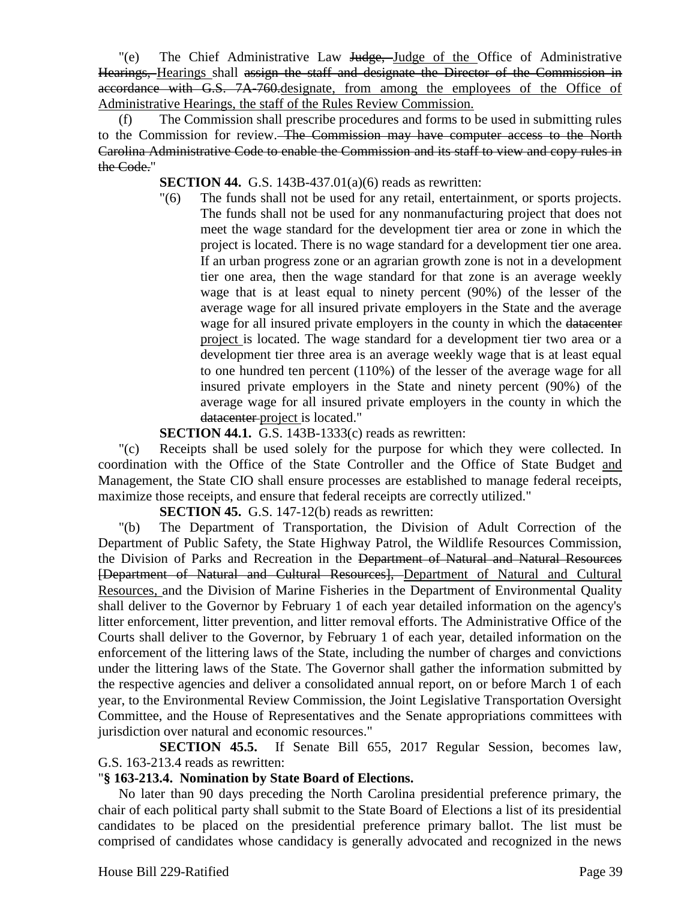"(e) The Chief Administrative Law Judge, Judge of the Office of Administrative Hearings, Hearings shall assign the staff and designate the Director of the Commission in accordance with G.S. 7A-760. designate, from among the employees of the Office of Administrative Hearings, the staff of the Rules Review Commission.

(f) The Commission shall prescribe procedures and forms to be used in submitting rules to the Commission for review. The Commission may have computer access to the North Carolina Administrative Code to enable the Commission and its staff to view and copy rules in the Code."

**SECTION 44.** G.S. 143B-437.01(a)(6) reads as rewritten:

"(6) The funds shall not be used for any retail, entertainment, or sports projects. The funds shall not be used for any nonmanufacturing project that does not meet the wage standard for the development tier area or zone in which the project is located. There is no wage standard for a development tier one area. If an urban progress zone or an agrarian growth zone is not in a development tier one area, then the wage standard for that zone is an average weekly wage that is at least equal to ninety percent (90%) of the lesser of the average wage for all insured private employers in the State and the average wage for all insured private employers in the county in which the datacenter project is located. The wage standard for a development tier two area or a development tier three area is an average weekly wage that is at least equal to one hundred ten percent (110%) of the lesser of the average wage for all insured private employers in the State and ninety percent (90%) of the average wage for all insured private employers in the county in which the datacenter project is located."

**SECTION 44.1.** G.S. 143B-1333(c) reads as rewritten:

"(c) Receipts shall be used solely for the purpose for which they were collected. In coordination with the Office of the State Controller and the Office of State Budget and Management, the State CIO shall ensure processes are established to manage federal receipts, maximize those receipts, and ensure that federal receipts are correctly utilized."

**SECTION 45.** G.S. 147-12(b) reads as rewritten:

"(b) The Department of Transportation, the Division of Adult Correction of the Department of Public Safety, the State Highway Patrol, the Wildlife Resources Commission, the Division of Parks and Recreation in the Department of Natural and Natural Resources [Department of Natural and Cultural Resources], Department of Natural and Cultural Resources, and the Division of Marine Fisheries in the Department of Environmental Quality shall deliver to the Governor by February 1 of each year detailed information on the agency's litter enforcement, litter prevention, and litter removal efforts. The Administrative Office of the Courts shall deliver to the Governor, by February 1 of each year, detailed information on the enforcement of the littering laws of the State, including the number of charges and convictions under the littering laws of the State. The Governor shall gather the information submitted by the respective agencies and deliver a consolidated annual report, on or before March 1 of each year, to the Environmental Review Commission, the Joint Legislative Transportation Oversight Committee, and the House of Representatives and the Senate appropriations committees with jurisdiction over natural and economic resources."

**SECTION 45.5.** If Senate Bill 655, 2017 Regular Session, becomes law, G.S. 163-213.4 reads as rewritten:

#### "**§ 163-213.4. Nomination by State Board of Elections.**

No later than 90 days preceding the North Carolina presidential preference primary, the chair of each political party shall submit to the State Board of Elections a list of its presidential candidates to be placed on the presidential preference primary ballot. The list must be comprised of candidates whose candidacy is generally advocated and recognized in the news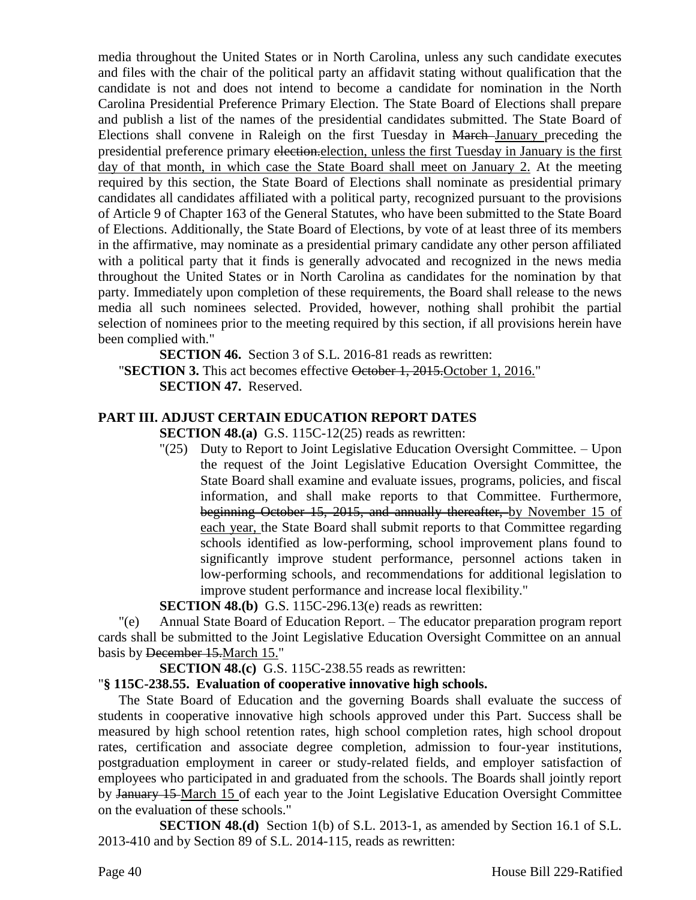media throughout the United States or in North Carolina, unless any such candidate executes and files with the chair of the political party an affidavit stating without qualification that the candidate is not and does not intend to become a candidate for nomination in the North Carolina Presidential Preference Primary Election. The State Board of Elections shall prepare and publish a list of the names of the presidential candidates submitted. The State Board of Elections shall convene in Raleigh on the first Tuesday in March January preceding the presidential preference primary election.election, unless the first Tuesday in January is the first day of that month, in which case the State Board shall meet on January 2. At the meeting required by this section, the State Board of Elections shall nominate as presidential primary candidates all candidates affiliated with a political party, recognized pursuant to the provisions of Article 9 of Chapter 163 of the General Statutes, who have been submitted to the State Board of Elections. Additionally, the State Board of Elections, by vote of at least three of its members in the affirmative, may nominate as a presidential primary candidate any other person affiliated with a political party that it finds is generally advocated and recognized in the news media throughout the United States or in North Carolina as candidates for the nomination by that party. Immediately upon completion of these requirements, the Board shall release to the news media all such nominees selected. Provided, however, nothing shall prohibit the partial selection of nominees prior to the meeting required by this section, if all provisions herein have been complied with."

**SECTION 46.** Section 3 of S.L. 2016-81 reads as rewritten: "**SECTION 3.** This act becomes effective October 1, 2015.October 1, 2016." **SECTION 47.** Reserved.

# **PART III. ADJUST CERTAIN EDUCATION REPORT DATES**

**SECTION 48.(a)** G.S. 115C-12(25) reads as rewritten:

"(25) Duty to Report to Joint Legislative Education Oversight Committee. – Upon the request of the Joint Legislative Education Oversight Committee, the State Board shall examine and evaluate issues, programs, policies, and fiscal information, and shall make reports to that Committee. Furthermore, beginning October 15, 2015, and annually thereafter, by November 15 of each year, the State Board shall submit reports to that Committee regarding schools identified as low-performing, school improvement plans found to significantly improve student performance, personnel actions taken in low-performing schools, and recommendations for additional legislation to improve student performance and increase local flexibility."

**SECTION 48.(b)** G.S. 115C-296.13(e) reads as rewritten:

"(e) Annual State Board of Education Report. – The educator preparation program report cards shall be submitted to the Joint Legislative Education Oversight Committee on an annual basis by December 15.March 15."

**SECTION 48.(c)** G.S. 115C-238.55 reads as rewritten:

#### "**§ 115C-238.55. Evaluation of cooperative innovative high schools.**

The State Board of Education and the governing Boards shall evaluate the success of students in cooperative innovative high schools approved under this Part. Success shall be measured by high school retention rates, high school completion rates, high school dropout rates, certification and associate degree completion, admission to four-year institutions, postgraduation employment in career or study-related fields, and employer satisfaction of employees who participated in and graduated from the schools. The Boards shall jointly report by January 15 March 15 of each year to the Joint Legislative Education Oversight Committee on the evaluation of these schools."

**SECTION 48.(d)** Section 1(b) of S.L. 2013-1, as amended by Section 16.1 of S.L. 2013-410 and by Section 89 of S.L. 2014-115, reads as rewritten: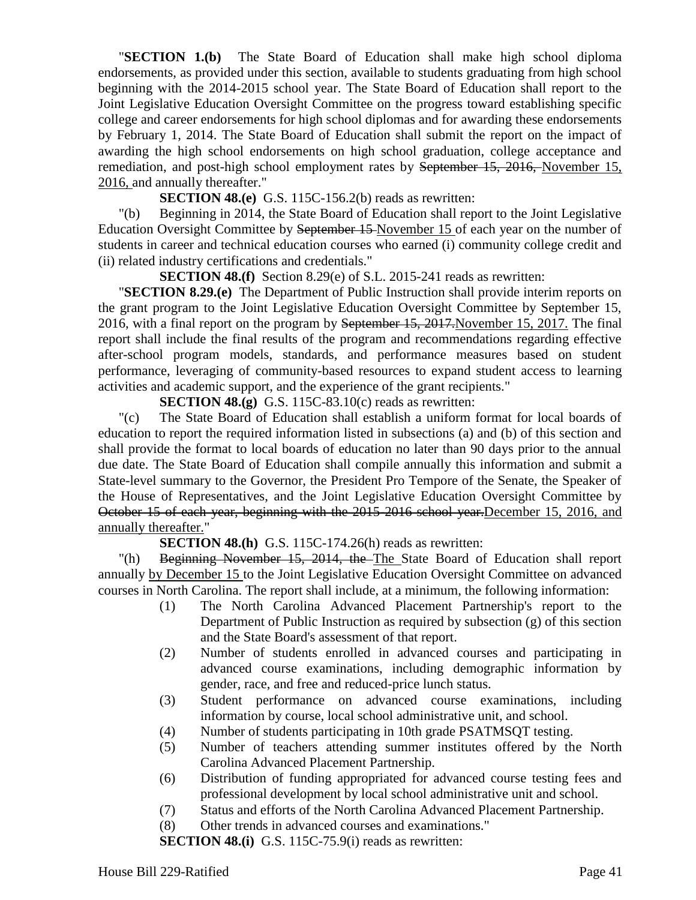"**SECTION 1.(b)** The State Board of Education shall make high school diploma endorsements, as provided under this section, available to students graduating from high school beginning with the 2014-2015 school year. The State Board of Education shall report to the Joint Legislative Education Oversight Committee on the progress toward establishing specific college and career endorsements for high school diplomas and for awarding these endorsements by February 1, 2014. The State Board of Education shall submit the report on the impact of awarding the high school endorsements on high school graduation, college acceptance and remediation, and post-high school employment rates by September 15, 2016, November 15, 2016, and annually thereafter."

#### **SECTION 48.(e)** G.S. 115C-156.2(b) reads as rewritten:

"(b) Beginning in 2014, the State Board of Education shall report to the Joint Legislative Education Oversight Committee by September 15 November 15 of each year on the number of students in career and technical education courses who earned (i) community college credit and (ii) related industry certifications and credentials."

**SECTION 48.(f)** Section 8.29(e) of S.L. 2015-241 reads as rewritten:

"**SECTION 8.29.(e)** The Department of Public Instruction shall provide interim reports on the grant program to the Joint Legislative Education Oversight Committee by September 15, 2016, with a final report on the program by September 15, 2017. November 15, 2017. The final report shall include the final results of the program and recommendations regarding effective after-school program models, standards, and performance measures based on student performance, leveraging of community-based resources to expand student access to learning activities and academic support, and the experience of the grant recipients."

**SECTION 48.(g)** G.S. 115C-83.10(c) reads as rewritten:

"(c) The State Board of Education shall establish a uniform format for local boards of education to report the required information listed in subsections (a) and (b) of this section and shall provide the format to local boards of education no later than 90 days prior to the annual due date. The State Board of Education shall compile annually this information and submit a State-level summary to the Governor, the President Pro Tempore of the Senate, the Speaker of the House of Representatives, and the Joint Legislative Education Oversight Committee by October 15 of each year, beginning with the 2015-2016 school year.December 15, 2016, and annually thereafter."

**SECTION 48.(h)** G.S. 115C-174.26(h) reads as rewritten:

"(h) Beginning November 15, 2014, the The State Board of Education shall report annually by December 15 to the Joint Legislative Education Oversight Committee on advanced courses in North Carolina. The report shall include, at a minimum, the following information:

- (1) The North Carolina Advanced Placement Partnership's report to the Department of Public Instruction as required by subsection (g) of this section and the State Board's assessment of that report.
- (2) Number of students enrolled in advanced courses and participating in advanced course examinations, including demographic information by gender, race, and free and reduced-price lunch status.
- (3) Student performance on advanced course examinations, including information by course, local school administrative unit, and school.
- (4) Number of students participating in 10th grade PSATMSQT testing.
- (5) Number of teachers attending summer institutes offered by the North Carolina Advanced Placement Partnership.
- (6) Distribution of funding appropriated for advanced course testing fees and professional development by local school administrative unit and school.
- (7) Status and efforts of the North Carolina Advanced Placement Partnership.
- (8) Other trends in advanced courses and examinations."

**SECTION 48.(i)** G.S. 115C-75.9(i) reads as rewritten: